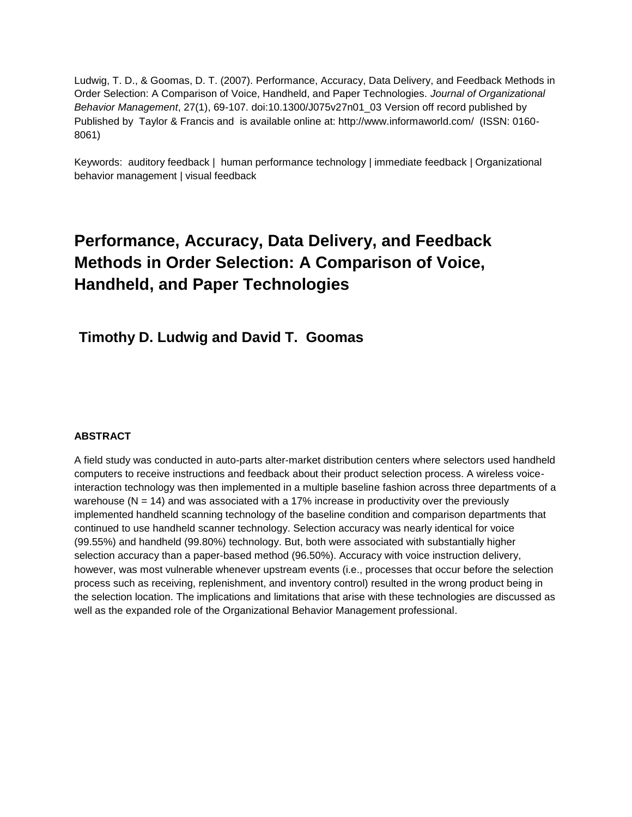Ludwig, T. D., & Goomas, D. T. (2007). Performance, Accuracy, Data Delivery, and Feedback Methods in Order Selection: A Comparison of Voice, Handheld, and Paper Technologies. *Journal of Organizational Behavior Management*, 27(1), 69-107. doi:10.1300/J075v27n01\_03 Version off record published by Published by Taylor & Francis and is available online at: http://www.informaworld.com/ (ISSN: 0160- 8061)

Keywords: auditory feedback | human performance technology | immediate feedback | Organizational behavior management | visual feedback

# **Performance, Accuracy, Data Delivery, and Feedback Methods in Order Selection: A Comparison of Voice, Handheld, and Paper Technologies**

# **Timothy D. Ludwig and David T. Goomas**

#### **ABSTRACT**

A field study was conducted in auto-parts alter-market distribution centers where selectors used handheld computers to receive instructions and feedback about their product selection process. A wireless voiceinteraction technology was then implemented in a multiple baseline fashion across three departments of a warehouse ( $N = 14$ ) and was associated with a 17% increase in productivity over the previously implemented handheld scanning technology of the baseline condition and comparison departments that continued to use handheld scanner technology. Selection accuracy was nearly identical for voice (99.55%) and handheld (99.80%) technology. But, both were associated with substantially higher selection accuracy than a paper-based method (96.50%). Accuracy with voice instruction delivery, however, was most vulnerable whenever upstream events (i.e., processes that occur before the selection process such as receiving, replenishment, and inventory control) resulted in the wrong product being in the selection location. The implications and limitations that arise with these technologies are discussed as well as the expanded role of the Organizational Behavior Management professional.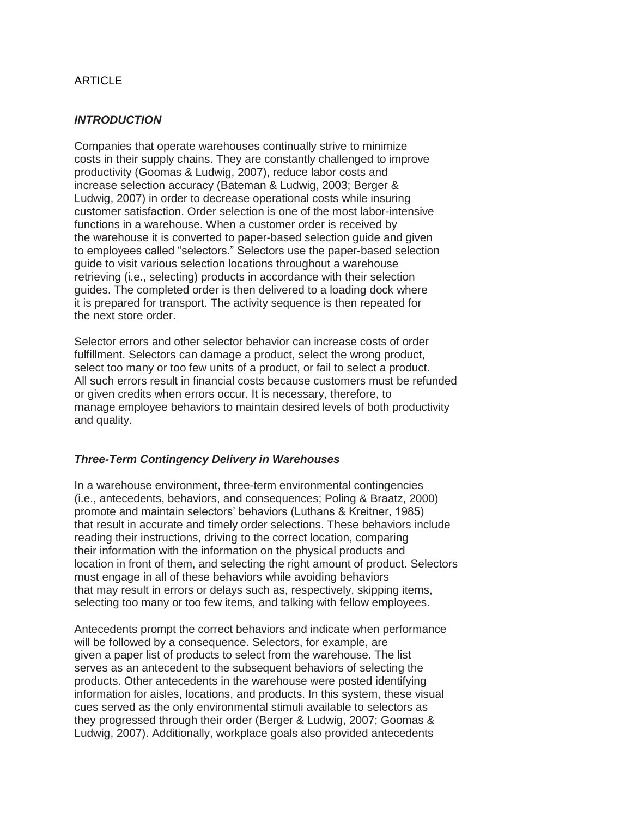# ARTICLE

#### *INTRODUCTION*

Companies that operate warehouses continually strive to minimize costs in their supply chains. They are constantly challenged to improve productivity (Goomas & Ludwig, 2007), reduce labor costs and increase selection accuracy (Bateman & Ludwig, 2003; Berger & Ludwig, 2007) in order to decrease operational costs while insuring customer satisfaction. Order selection is one of the most labor-intensive functions in a warehouse. When a customer order is received by the warehouse it is converted to paper-based selection guide and given to employees called "selectors." Selectors use the paper-based selection guide to visit various selection locations throughout a warehouse retrieving (i.e., selecting) products in accordance with their selection guides. The completed order is then delivered to a loading dock where it is prepared for transport. The activity sequence is then repeated for the next store order.

Selector errors and other selector behavior can increase costs of order fulfillment. Selectors can damage a product, select the wrong product, select too many or too few units of a product, or fail to select a product. All such errors result in financial costs because customers must be refunded or given credits when errors occur. It is necessary, therefore, to manage employee behaviors to maintain desired levels of both productivity and quality.

#### *Three-Term Contingency Delivery in Warehouses*

In a warehouse environment, three-term environmental contingencies (i.e., antecedents, behaviors, and consequences; Poling & Braatz, 2000) promote and maintain selectors" behaviors (Luthans & Kreitner, 1985) that result in accurate and timely order selections. These behaviors include reading their instructions, driving to the correct location, comparing their information with the information on the physical products and location in front of them, and selecting the right amount of product. Selectors must engage in all of these behaviors while avoiding behaviors that may result in errors or delays such as, respectively, skipping items, selecting too many or too few items, and talking with fellow employees.

Antecedents prompt the correct behaviors and indicate when performance will be followed by a consequence. Selectors, for example, are given a paper list of products to select from the warehouse. The list serves as an antecedent to the subsequent behaviors of selecting the products. Other antecedents in the warehouse were posted identifying information for aisles, locations, and products. In this system, these visual cues served as the only environmental stimuli available to selectors as they progressed through their order (Berger & Ludwig, 2007; Goomas & Ludwig, 2007). Additionally, workplace goals also provided antecedents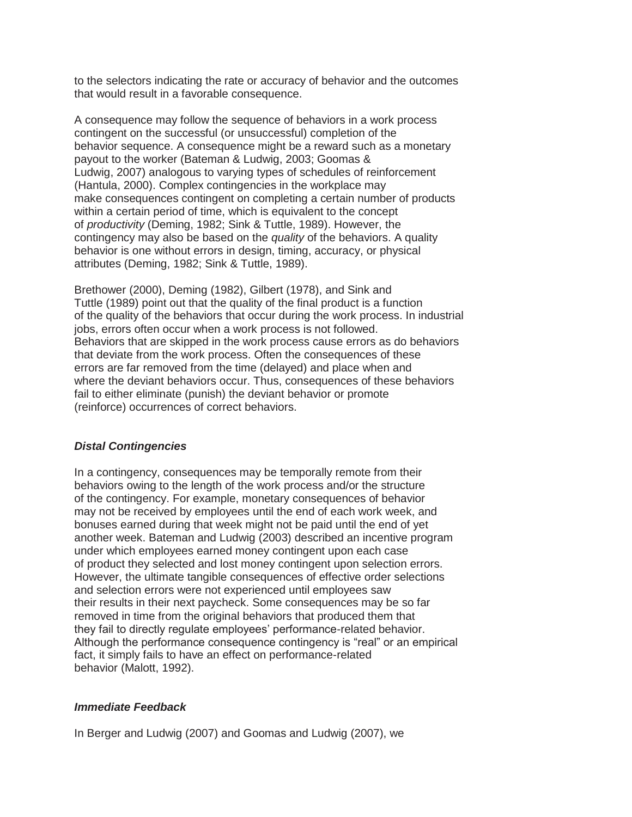to the selectors indicating the rate or accuracy of behavior and the outcomes that would result in a favorable consequence.

A consequence may follow the sequence of behaviors in a work process contingent on the successful (or unsuccessful) completion of the behavior sequence. A consequence might be a reward such as a monetary payout to the worker (Bateman & Ludwig, 2003; Goomas & Ludwig, 2007) analogous to varying types of schedules of reinforcement (Hantula, 2000). Complex contingencies in the workplace may make consequences contingent on completing a certain number of products within a certain period of time, which is equivalent to the concept of *productivity* (Deming, 1982; Sink & Tuttle, 1989). However, the contingency may also be based on the *quality* of the behaviors. A quality behavior is one without errors in design, timing, accuracy, or physical attributes (Deming, 1982; Sink & Tuttle, 1989).

Brethower (2000), Deming (1982), Gilbert (1978), and Sink and Tuttle (1989) point out that the quality of the final product is a function of the quality of the behaviors that occur during the work process. In industrial jobs, errors often occur when a work process is not followed. Behaviors that are skipped in the work process cause errors as do behaviors that deviate from the work process. Often the consequences of these errors are far removed from the time (delayed) and place when and where the deviant behaviors occur. Thus, consequences of these behaviors fail to either eliminate (punish) the deviant behavior or promote (reinforce) occurrences of correct behaviors.

# *Distal Contingencies*

In a contingency, consequences may be temporally remote from their behaviors owing to the length of the work process and/or the structure of the contingency. For example, monetary consequences of behavior may not be received by employees until the end of each work week, and bonuses earned during that week might not be paid until the end of yet another week. Bateman and Ludwig (2003) described an incentive program under which employees earned money contingent upon each case of product they selected and lost money contingent upon selection errors. However, the ultimate tangible consequences of effective order selections and selection errors were not experienced until employees saw their results in their next paycheck. Some consequences may be so far removed in time from the original behaviors that produced them that they fail to directly regulate employees" performance-related behavior. Although the performance consequence contingency is "real" or an empirical fact, it simply fails to have an effect on performance-related behavior (Malott, 1992).

# *Immediate Feedback*

In Berger and Ludwig (2007) and Goomas and Ludwig (2007), we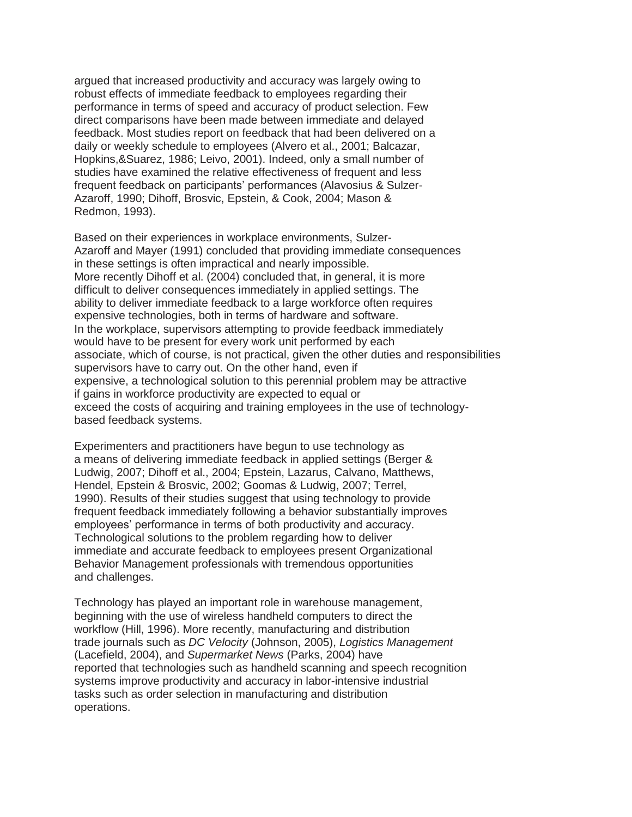argued that increased productivity and accuracy was largely owing to robust effects of immediate feedback to employees regarding their performance in terms of speed and accuracy of product selection. Few direct comparisons have been made between immediate and delayed feedback. Most studies report on feedback that had been delivered on a daily or weekly schedule to employees (Alvero et al., 2001; Balcazar, Hopkins,&Suarez, 1986; Leivo, 2001). Indeed, only a small number of studies have examined the relative effectiveness of frequent and less frequent feedback on participants' performances (Alavosius & Sulzer-Azaroff, 1990; Dihoff, Brosvic, Epstein, & Cook, 2004; Mason & Redmon, 1993).

Based on their experiences in workplace environments, Sulzer-Azaroff and Mayer (1991) concluded that providing immediate consequences in these settings is often impractical and nearly impossible. More recently Dihoff et al. (2004) concluded that, in general, it is more difficult to deliver consequences immediately in applied settings. The ability to deliver immediate feedback to a large workforce often requires expensive technologies, both in terms of hardware and software. In the workplace, supervisors attempting to provide feedback immediately would have to be present for every work unit performed by each associate, which of course, is not practical, given the other duties and responsibilities supervisors have to carry out. On the other hand, even if expensive, a technological solution to this perennial problem may be attractive if gains in workforce productivity are expected to equal or exceed the costs of acquiring and training employees in the use of technologybased feedback systems.

Experimenters and practitioners have begun to use technology as a means of delivering immediate feedback in applied settings (Berger & Ludwig, 2007; Dihoff et al., 2004; Epstein, Lazarus, Calvano, Matthews, Hendel, Epstein & Brosvic, 2002; Goomas & Ludwig, 2007; Terrel, 1990). Results of their studies suggest that using technology to provide frequent feedback immediately following a behavior substantially improves employees" performance in terms of both productivity and accuracy. Technological solutions to the problem regarding how to deliver immediate and accurate feedback to employees present Organizational Behavior Management professionals with tremendous opportunities and challenges.

Technology has played an important role in warehouse management, beginning with the use of wireless handheld computers to direct the workflow (Hill, 1996). More recently, manufacturing and distribution trade journals such as *DC Velocity* (Johnson, 2005), *Logistics Management* (Lacefield, 2004), and *Supermarket News* (Parks, 2004) have reported that technologies such as handheld scanning and speech recognition systems improve productivity and accuracy in labor-intensive industrial tasks such as order selection in manufacturing and distribution operations.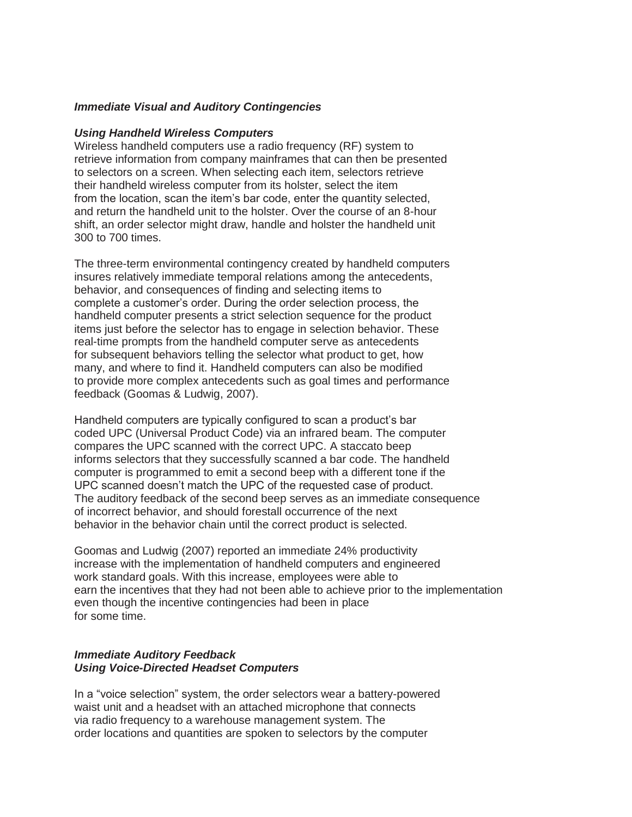#### *Immediate Visual and Auditory Contingencies*

#### *Using Handheld Wireless Computers*

Wireless handheld computers use a radio frequency (RF) system to retrieve information from company mainframes that can then be presented to selectors on a screen. When selecting each item, selectors retrieve their handheld wireless computer from its holster, select the item from the location, scan the item's bar code, enter the quantity selected, and return the handheld unit to the holster. Over the course of an 8-hour shift, an order selector might draw, handle and holster the handheld unit 300 to 700 times.

The three-term environmental contingency created by handheld computers insures relatively immediate temporal relations among the antecedents, behavior, and consequences of finding and selecting items to complete a customer"s order. During the order selection process, the handheld computer presents a strict selection sequence for the product items just before the selector has to engage in selection behavior. These real-time prompts from the handheld computer serve as antecedents for subsequent behaviors telling the selector what product to get, how many, and where to find it. Handheld computers can also be modified to provide more complex antecedents such as goal times and performance feedback (Goomas & Ludwig, 2007).

Handheld computers are typically configured to scan a product"s bar coded UPC (Universal Product Code) via an infrared beam. The computer compares the UPC scanned with the correct UPC. A staccato beep informs selectors that they successfully scanned a bar code. The handheld computer is programmed to emit a second beep with a different tone if the UPC scanned doesn"t match the UPC of the requested case of product. The auditory feedback of the second beep serves as an immediate consequence of incorrect behavior, and should forestall occurrence of the next behavior in the behavior chain until the correct product is selected.

Goomas and Ludwig (2007) reported an immediate 24% productivity increase with the implementation of handheld computers and engineered work standard goals. With this increase, employees were able to earn the incentives that they had not been able to achieve prior to the implementation even though the incentive contingencies had been in place for some time.

#### *Immediate Auditory Feedback Using Voice-Directed Headset Computers*

In a "voice selection" system, the order selectors wear a battery-powered waist unit and a headset with an attached microphone that connects via radio frequency to a warehouse management system. The order locations and quantities are spoken to selectors by the computer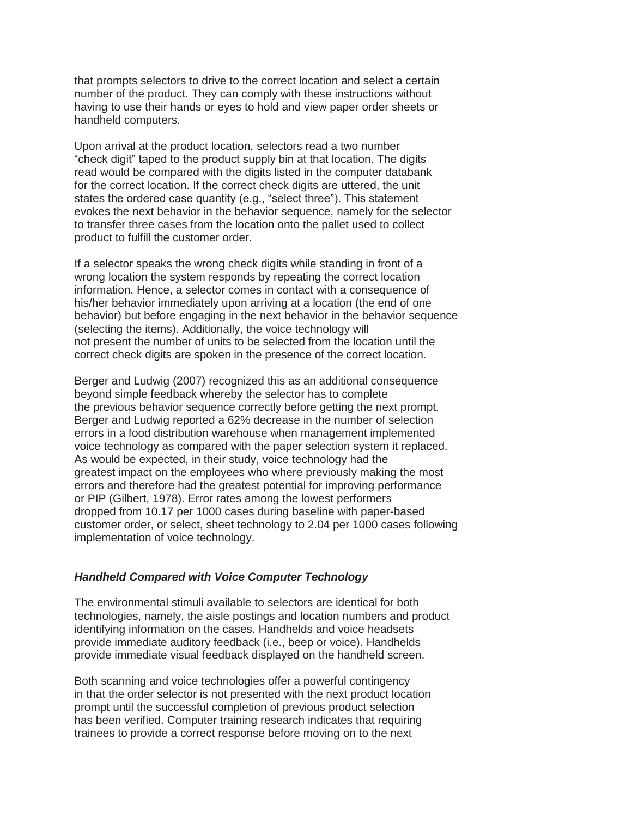that prompts selectors to drive to the correct location and select a certain number of the product. They can comply with these instructions without having to use their hands or eyes to hold and view paper order sheets or handheld computers.

Upon arrival at the product location, selectors read a two number "check digit" taped to the product supply bin at that location. The digits read would be compared with the digits listed in the computer databank for the correct location. If the correct check digits are uttered, the unit states the ordered case quantity (e.g., "select three"). This statement evokes the next behavior in the behavior sequence, namely for the selector to transfer three cases from the location onto the pallet used to collect product to fulfill the customer order.

If a selector speaks the wrong check digits while standing in front of a wrong location the system responds by repeating the correct location information. Hence, a selector comes in contact with a consequence of his/her behavior immediately upon arriving at a location (the end of one behavior) but before engaging in the next behavior in the behavior sequence (selecting the items). Additionally, the voice technology will not present the number of units to be selected from the location until the correct check digits are spoken in the presence of the correct location.

Berger and Ludwig (2007) recognized this as an additional consequence beyond simple feedback whereby the selector has to complete the previous behavior sequence correctly before getting the next prompt. Berger and Ludwig reported a 62% decrease in the number of selection errors in a food distribution warehouse when management implemented voice technology as compared with the paper selection system it replaced. As would be expected, in their study, voice technology had the greatest impact on the employees who where previously making the most errors and therefore had the greatest potential for improving performance or PIP (Gilbert, 1978). Error rates among the lowest performers dropped from 10.17 per 1000 cases during baseline with paper-based customer order, or select, sheet technology to 2.04 per 1000 cases following implementation of voice technology.

#### *Handheld Compared with Voice Computer Technology*

The environmental stimuli available to selectors are identical for both technologies, namely, the aisle postings and location numbers and product identifying information on the cases. Handhelds and voice headsets provide immediate auditory feedback (i.e., beep or voice). Handhelds provide immediate visual feedback displayed on the handheld screen.

Both scanning and voice technologies offer a powerful contingency in that the order selector is not presented with the next product location prompt until the successful completion of previous product selection has been verified. Computer training research indicates that requiring trainees to provide a correct response before moving on to the next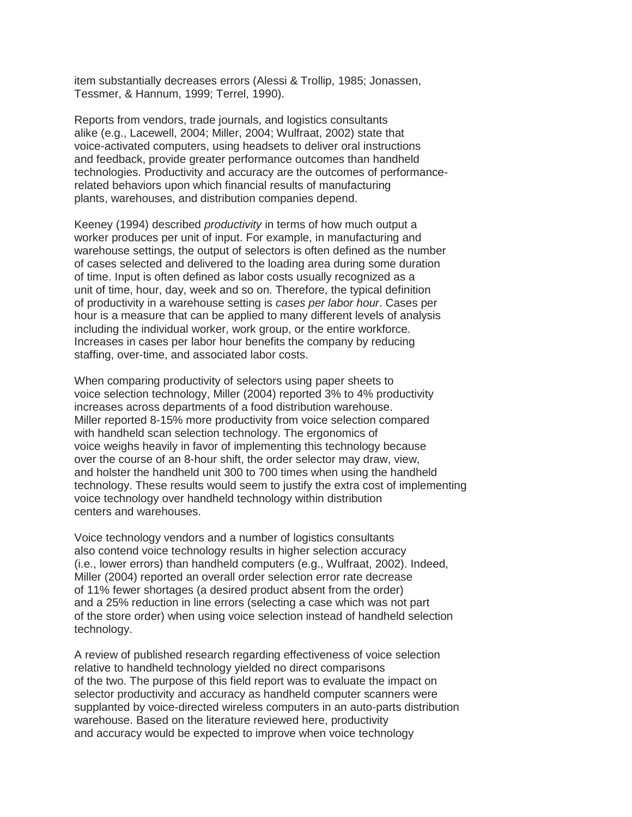item substantially decreases errors (Alessi & Trollip, 1985; Jonassen, Tessmer, & Hannum, 1999; Terrel, 1990).

Reports from vendors, trade journals, and logistics consultants alike (e.g., Lacewell, 2004; Miller, 2004; Wulfraat, 2002) state that voice-activated computers, using headsets to deliver oral instructions and feedback, provide greater performance outcomes than handheld technologies. Productivity and accuracy are the outcomes of performancerelated behaviors upon which financial results of manufacturing plants, warehouses, and distribution companies depend.

Keeney (1994) described *productivity* in terms of how much output a worker produces per unit of input. For example, in manufacturing and warehouse settings, the output of selectors is often defined as the number of cases selected and delivered to the loading area during some duration of time. Input is often defined as labor costs usually recognized as a unit of time, hour, day, week and so on. Therefore, the typical definition of productivity in a warehouse setting is *cases per labor hour*. Cases per hour is a measure that can be applied to many different levels of analysis including the individual worker, work group, or the entire workforce. Increases in cases per labor hour benefits the company by reducing staffing, over-time, and associated labor costs.

When comparing productivity of selectors using paper sheets to voice selection technology, Miller (2004) reported 3% to 4% productivity increases across departments of a food distribution warehouse. Miller reported 8-15% more productivity from voice selection compared with handheld scan selection technology. The ergonomics of voice weighs heavily in favor of implementing this technology because over the course of an 8-hour shift, the order selector may draw, view, and holster the handheld unit 300 to 700 times when using the handheld technology. These results would seem to justify the extra cost of implementing voice technology over handheld technology within distribution centers and warehouses.

Voice technology vendors and a number of logistics consultants also contend voice technology results in higher selection accuracy (i.e., lower errors) than handheld computers (e.g., Wulfraat, 2002). Indeed, Miller (2004) reported an overall order selection error rate decrease of 11% fewer shortages (a desired product absent from the order) and a 25% reduction in line errors (selecting a case which was not part of the store order) when using voice selection instead of handheld selection technology.

A review of published research regarding effectiveness of voice selection relative to handheld technology yielded no direct comparisons of the two. The purpose of this field report was to evaluate the impact on selector productivity and accuracy as handheld computer scanners were supplanted by voice-directed wireless computers in an auto-parts distribution warehouse. Based on the literature reviewed here, productivity and accuracy would be expected to improve when voice technology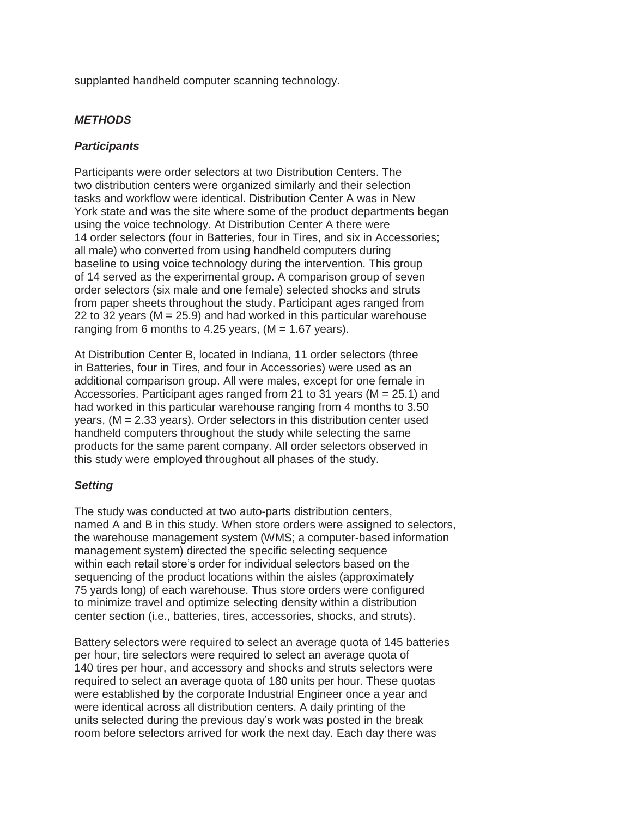supplanted handheld computer scanning technology.

# *METHODS*

#### *Participants*

Participants were order selectors at two Distribution Centers. The two distribution centers were organized similarly and their selection tasks and workflow were identical. Distribution Center A was in New York state and was the site where some of the product departments began using the voice technology. At Distribution Center A there were 14 order selectors (four in Batteries, four in Tires, and six in Accessories; all male) who converted from using handheld computers during baseline to using voice technology during the intervention. This group of 14 served as the experimental group. A comparison group of seven order selectors (six male and one female) selected shocks and struts from paper sheets throughout the study. Participant ages ranged from 22 to 32 years ( $M = 25.9$ ) and had worked in this particular warehouse ranging from 6 months to 4.25 years,  $(M = 1.67$  years).

At Distribution Center B, located in Indiana, 11 order selectors (three in Batteries, four in Tires, and four in Accessories) were used as an additional comparison group. All were males, except for one female in Accessories. Participant ages ranged from 21 to 31 years (M = 25.1) and had worked in this particular warehouse ranging from 4 months to 3.50 years, (M = 2.33 years). Order selectors in this distribution center used handheld computers throughout the study while selecting the same products for the same parent company. All order selectors observed in this study were employed throughout all phases of the study.

# *Setting*

The study was conducted at two auto-parts distribution centers, named A and B in this study. When store orders were assigned to selectors, the warehouse management system (WMS; a computer-based information management system) directed the specific selecting sequence within each retail store"s order for individual selectors based on the sequencing of the product locations within the aisles (approximately 75 yards long) of each warehouse. Thus store orders were configured to minimize travel and optimize selecting density within a distribution center section (i.e., batteries, tires, accessories, shocks, and struts).

Battery selectors were required to select an average quota of 145 batteries per hour, tire selectors were required to select an average quota of 140 tires per hour, and accessory and shocks and struts selectors were required to select an average quota of 180 units per hour. These quotas were established by the corporate Industrial Engineer once a year and were identical across all distribution centers. A daily printing of the units selected during the previous day"s work was posted in the break room before selectors arrived for work the next day. Each day there was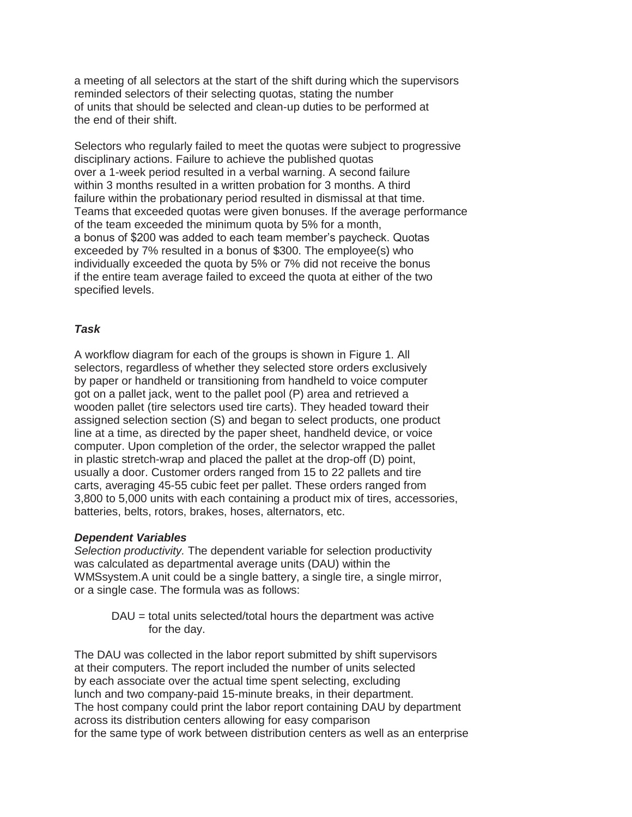a meeting of all selectors at the start of the shift during which the supervisors reminded selectors of their selecting quotas, stating the number of units that should be selected and clean-up duties to be performed at the end of their shift.

Selectors who regularly failed to meet the quotas were subject to progressive disciplinary actions. Failure to achieve the published quotas over a 1-week period resulted in a verbal warning. A second failure within 3 months resulted in a written probation for 3 months. A third failure within the probationary period resulted in dismissal at that time. Teams that exceeded quotas were given bonuses. If the average performance of the team exceeded the minimum quota by 5% for a month, a bonus of \$200 was added to each team member"s paycheck. Quotas exceeded by 7% resulted in a bonus of \$300. The employee(s) who individually exceeded the quota by 5% or 7% did not receive the bonus if the entire team average failed to exceed the quota at either of the two specified levels.

# *Task*

A workflow diagram for each of the groups is shown in Figure 1. All selectors, regardless of whether they selected store orders exclusively by paper or handheld or transitioning from handheld to voice computer got on a pallet jack, went to the pallet pool (P) area and retrieved a wooden pallet (tire selectors used tire carts). They headed toward their assigned selection section (S) and began to select products, one product line at a time, as directed by the paper sheet, handheld device, or voice computer. Upon completion of the order, the selector wrapped the pallet in plastic stretch-wrap and placed the pallet at the drop-off (D) point, usually a door. Customer orders ranged from 15 to 22 pallets and tire carts, averaging 45-55 cubic feet per pallet. These orders ranged from 3,800 to 5,000 units with each containing a product mix of tires, accessories, batteries, belts, rotors, brakes, hoses, alternators, etc.

# *Dependent Variables*

*Selection productivity.* The dependent variable for selection productivity was calculated as departmental average units (DAU) within the WMSsystem.A unit could be a single battery, a single tire, a single mirror, or a single case. The formula was as follows:

> DAU = total units selected/total hours the department was active for the day.

The DAU was collected in the labor report submitted by shift supervisors at their computers. The report included the number of units selected by each associate over the actual time spent selecting, excluding lunch and two company-paid 15-minute breaks, in their department. The host company could print the labor report containing DAU by department across its distribution centers allowing for easy comparison for the same type of work between distribution centers as well as an enterprise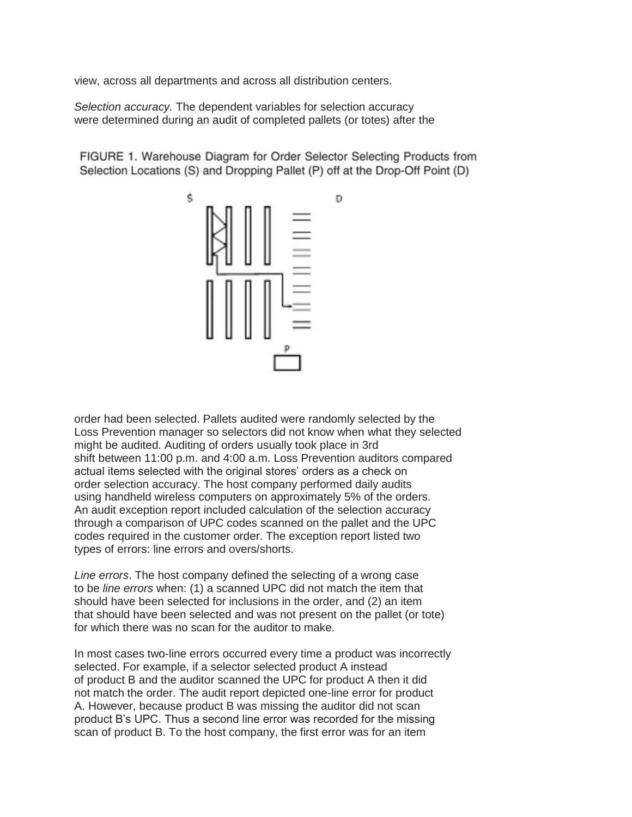view, across all departments and across all distribution centers.

*Selection accuracy.* The dependent variables for selection accuracy were determined during an audit of completed pallets (or totes) after the

FIGURE 1. Warehouse Diagram for Order Selector Selecting Products from Selection Locations (S) and Dropping Pallet (P) off at the Drop-Off Point (D)



order had been selected. Pallets audited were randomly selected by the Loss Prevention manager so selectors did not know when what they selected might be audited. Auditing of orders usually took place in 3rd shift between 11:00 p.m. and 4:00 a.m. Loss Prevention auditors compared actual items selected with the original stores" orders as a check on order selection accuracy. The host company performed daily audits using handheld wireless computers on approximately 5% of the orders. An audit exception report included calculation of the selection accuracy through a comparison of UPC codes scanned on the pallet and the UPC codes required in the customer order. The exception report listed two types of errors: line errors and overs/shorts.

*Line errors*. The host company defined the selecting of a wrong case to be *line errors* when: (1) a scanned UPC did not match the item that should have been selected for inclusions in the order, and (2) an item that should have been selected and was not present on the pallet (or tote) for which there was no scan for the auditor to make.

In most cases two-line errors occurred every time a product was incorrectly selected. For example, if a selector selected product A instead of product B and the auditor scanned the UPC for product A then it did not match the order. The audit report depicted one-line error for product A. However, because product B was missing the auditor did not scan product B"s UPC. Thus a second line error was recorded for the missing scan of product B. To the host company, the first error was for an item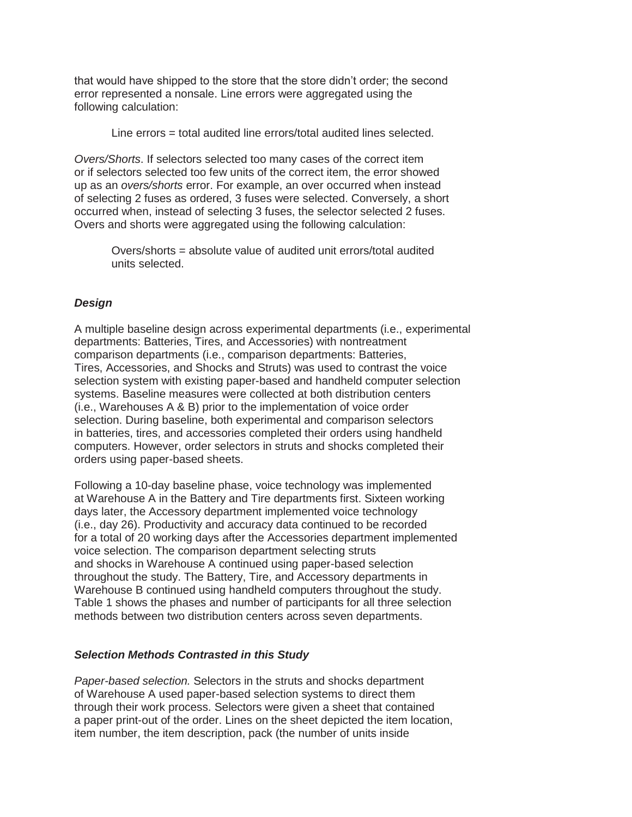that would have shipped to the store that the store didn"t order; the second error represented a nonsale. Line errors were aggregated using the following calculation:

Line errors = total audited line errors/total audited lines selected.

*Overs/Shorts*. If selectors selected too many cases of the correct item or if selectors selected too few units of the correct item, the error showed up as an *overs/shorts* error. For example, an over occurred when instead of selecting 2 fuses as ordered, 3 fuses were selected. Conversely, a short occurred when, instead of selecting 3 fuses, the selector selected 2 fuses. Overs and shorts were aggregated using the following calculation:

Overs/shorts = absolute value of audited unit errors/total audited units selected.

#### *Design*

A multiple baseline design across experimental departments (i.e., experimental departments: Batteries, Tires, and Accessories) with nontreatment comparison departments (i.e., comparison departments: Batteries, Tires, Accessories, and Shocks and Struts) was used to contrast the voice selection system with existing paper-based and handheld computer selection systems. Baseline measures were collected at both distribution centers (i.e., Warehouses A & B) prior to the implementation of voice order selection. During baseline, both experimental and comparison selectors in batteries, tires, and accessories completed their orders using handheld computers. However, order selectors in struts and shocks completed their orders using paper-based sheets.

Following a 10-day baseline phase, voice technology was implemented at Warehouse A in the Battery and Tire departments first. Sixteen working days later, the Accessory department implemented voice technology (i.e., day 26). Productivity and accuracy data continued to be recorded for a total of 20 working days after the Accessories department implemented voice selection. The comparison department selecting struts and shocks in Warehouse A continued using paper-based selection throughout the study. The Battery, Tire, and Accessory departments in Warehouse B continued using handheld computers throughout the study. Table 1 shows the phases and number of participants for all three selection methods between two distribution centers across seven departments.

#### *Selection Methods Contrasted in this Study*

*Paper-based selection.* Selectors in the struts and shocks department of Warehouse A used paper-based selection systems to direct them through their work process. Selectors were given a sheet that contained a paper print-out of the order. Lines on the sheet depicted the item location, item number, the item description, pack (the number of units inside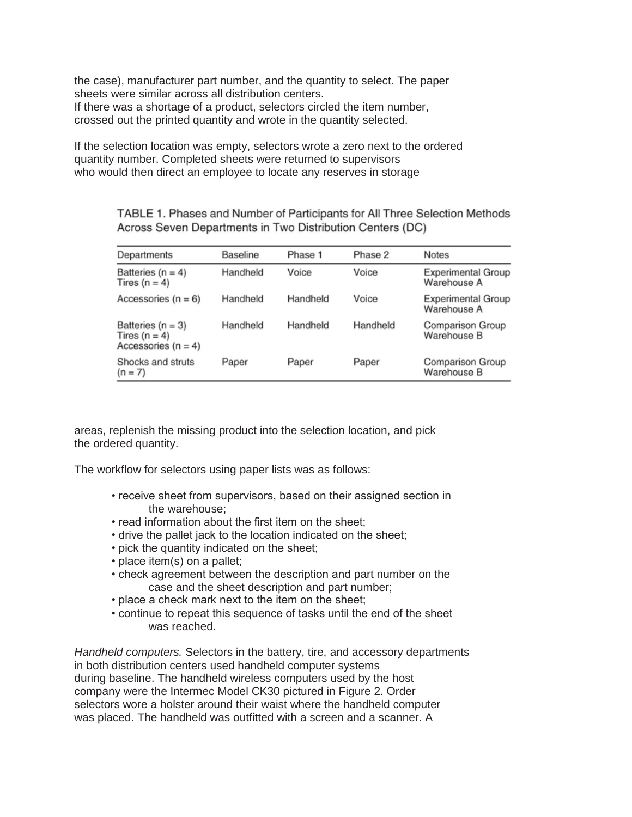the case), manufacturer part number, and the quantity to select. The paper sheets were similar across all distribution centers. If there was a shortage of a product, selectors circled the item number, crossed out the printed quantity and wrote in the quantity selected.

If the selection location was empty, selectors wrote a zero next to the ordered quantity number. Completed sheets were returned to supervisors who would then direct an employee to locate any reserves in storage

> TABLE 1. Phases and Number of Participants for All Three Selection Methods Across Seven Departments in Two Distribution Centers (DC)

| Departments                                                     | Baseline | Phase 1  | Phase 2  | <b>Notes</b>                             |
|-----------------------------------------------------------------|----------|----------|----------|------------------------------------------|
| Batteries $(n = 4)$<br>Tires ( $n = 4$ )                        | Handheld | Voice    | Voice    | <b>Experimental Group</b><br>Warehouse A |
| Accessories $(n = 6)$                                           | Handheld | Handheld | Voice    | <b>Experimental Group</b><br>Warehouse A |
| Batteries $(n = 3)$<br>Tires $(n = 4)$<br>Accessories $(n = 4)$ | Handheld | Handheld | Handheld | Comparison Group<br>Warehouse B          |
| Shocks and struts<br>$(n = 7)$                                  | Paper    | Paper    | Paper    | Comparison Group<br>Warehouse B          |

areas, replenish the missing product into the selection location, and pick the ordered quantity.

The workflow for selectors using paper lists was as follows:

- receive sheet from supervisors, based on their assigned section in the warehouse;
- read information about the first item on the sheet;
- drive the pallet jack to the location indicated on the sheet;
- pick the quantity indicated on the sheet;
- place item(s) on a pallet;
- check agreement between the description and part number on the case and the sheet description and part number;
- place a check mark next to the item on the sheet;
- continue to repeat this sequence of tasks until the end of the sheet was reached.

*Handheld computers.* Selectors in the battery, tire, and accessory departments in both distribution centers used handheld computer systems during baseline. The handheld wireless computers used by the host company were the Intermec Model CK30 pictured in Figure 2. Order selectors wore a holster around their waist where the handheld computer was placed. The handheld was outfitted with a screen and a scanner. A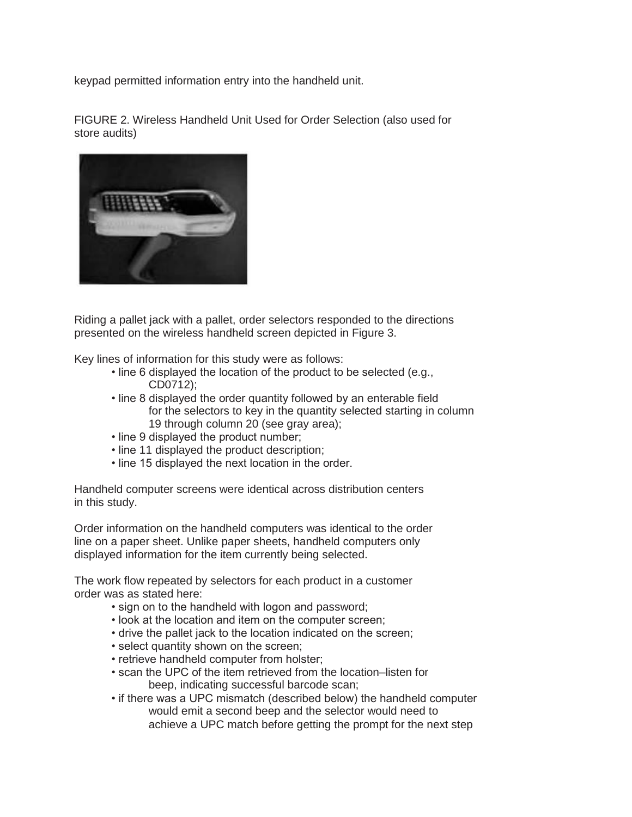keypad permitted information entry into the handheld unit.

FIGURE 2. Wireless Handheld Unit Used for Order Selection (also used for store audits)



Riding a pallet jack with a pallet, order selectors responded to the directions presented on the wireless handheld screen depicted in Figure 3.

Key lines of information for this study were as follows:

- line 6 displayed the location of the product to be selected (e.g., CD0712);
- line 8 displayed the order quantity followed by an enterable field for the selectors to key in the quantity selected starting in column 19 through column 20 (see gray area);
- line 9 displayed the product number;
- line 11 displayed the product description;
- line 15 displayed the next location in the order.

Handheld computer screens were identical across distribution centers in this study.

Order information on the handheld computers was identical to the order line on a paper sheet. Unlike paper sheets, handheld computers only displayed information for the item currently being selected.

The work flow repeated by selectors for each product in a customer order was as stated here:

- sign on to the handheld with logon and password;
- look at the location and item on the computer screen;
- drive the pallet jack to the location indicated on the screen;
- select quantity shown on the screen;
- retrieve handheld computer from holster;
- scan the UPC of the item retrieved from the location–listen for beep, indicating successful barcode scan;
- if there was a UPC mismatch (described below) the handheld computer would emit a second beep and the selector would need to achieve a UPC match before getting the prompt for the next step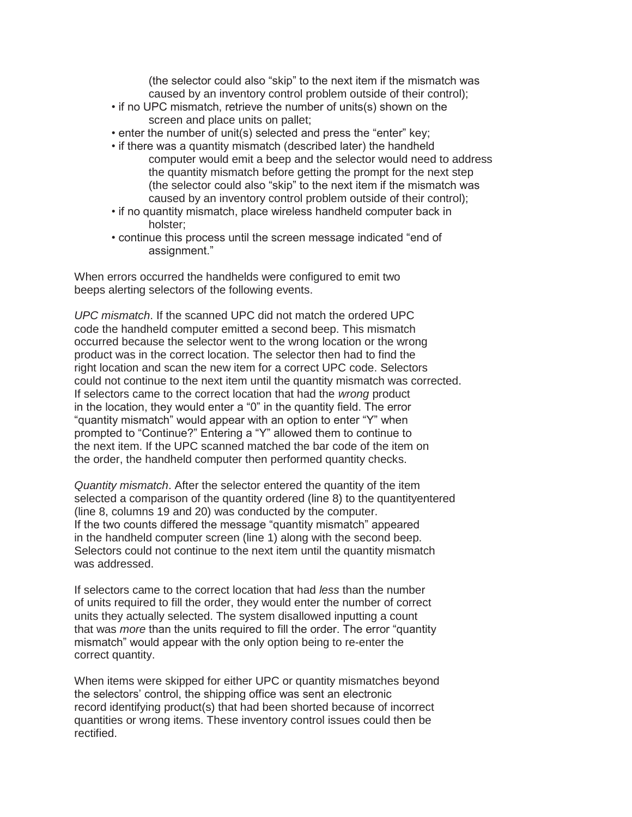(the selector could also "skip" to the next item if the mismatch was caused by an inventory control problem outside of their control);

- if no UPC mismatch, retrieve the number of units(s) shown on the screen and place units on pallet;
- enter the number of unit(s) selected and press the "enter" key;
- if there was a quantity mismatch (described later) the handheld computer would emit a beep and the selector would need to address the quantity mismatch before getting the prompt for the next step (the selector could also "skip" to the next item if the mismatch was caused by an inventory control problem outside of their control);
- if no quantity mismatch, place wireless handheld computer back in holster;
- continue this process until the screen message indicated "end of assignment."

When errors occurred the handhelds were configured to emit two beeps alerting selectors of the following events.

*UPC mismatch*. If the scanned UPC did not match the ordered UPC code the handheld computer emitted a second beep. This mismatch occurred because the selector went to the wrong location or the wrong product was in the correct location. The selector then had to find the right location and scan the new item for a correct UPC code. Selectors could not continue to the next item until the quantity mismatch was corrected. If selectors came to the correct location that had the *wrong* product in the location, they would enter a "0" in the quantity field. The error "quantity mismatch" would appear with an option to enter "Y" when prompted to "Continue?" Entering a "Y" allowed them to continue to the next item. If the UPC scanned matched the bar code of the item on the order, the handheld computer then performed quantity checks.

*Quantity mismatch*. After the selector entered the quantity of the item selected a comparison of the quantity ordered (line 8) to the quantityentered (line 8, columns 19 and 20) was conducted by the computer. If the two counts differed the message "quantity mismatch" appeared in the handheld computer screen (line 1) along with the second beep. Selectors could not continue to the next item until the quantity mismatch was addressed.

If selectors came to the correct location that had *less* than the number of units required to fill the order, they would enter the number of correct units they actually selected. The system disallowed inputting a count that was *more* than the units required to fill the order. The error "quantity mismatch" would appear with the only option being to re-enter the correct quantity.

When items were skipped for either UPC or quantity mismatches beyond the selectors" control, the shipping office was sent an electronic record identifying product(s) that had been shorted because of incorrect quantities or wrong items. These inventory control issues could then be rectified.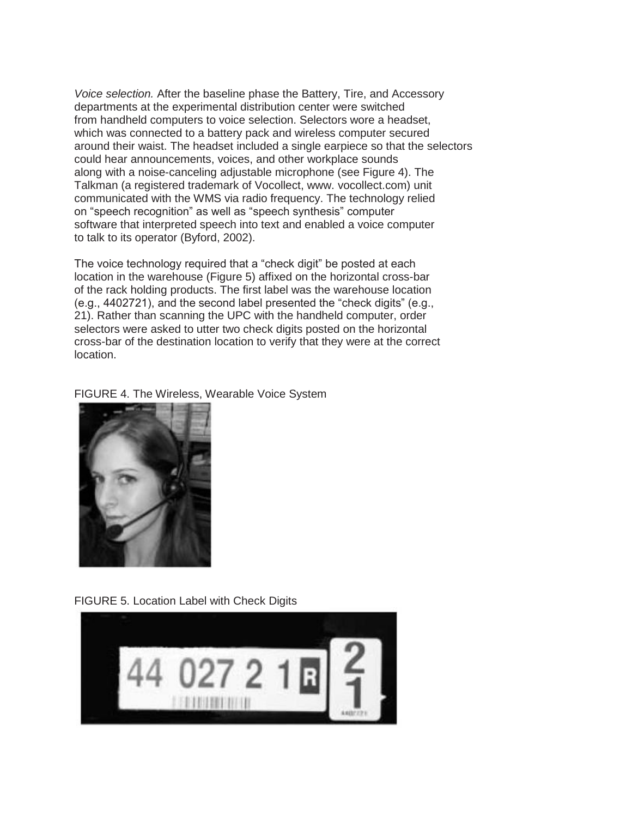*Voice selection.* After the baseline phase the Battery, Tire, and Accessory departments at the experimental distribution center were switched from handheld computers to voice selection. Selectors wore a headset, which was connected to a battery pack and wireless computer secured around their waist. The headset included a single earpiece so that the selectors could hear announcements, voices, and other workplace sounds along with a noise-canceling adjustable microphone (see Figure 4). The Talkman (a registered trademark of Vocollect, www. vocollect.com) unit communicated with the WMS via radio frequency. The technology relied on "speech recognition" as well as "speech synthesis" computer software that interpreted speech into text and enabled a voice computer to talk to its operator (Byford, 2002).

The voice technology required that a "check digit" be posted at each location in the warehouse (Figure 5) affixed on the horizontal cross-bar of the rack holding products. The first label was the warehouse location (e.g., 4402721), and the second label presented the "check digits" (e.g., 21). Rather than scanning the UPC with the handheld computer, order selectors were asked to utter two check digits posted on the horizontal cross-bar of the destination location to verify that they were at the correct location.

#### FIGURE 4. The Wireless, Wearable Voice System



FIGURE 5. Location Label with Check Digits

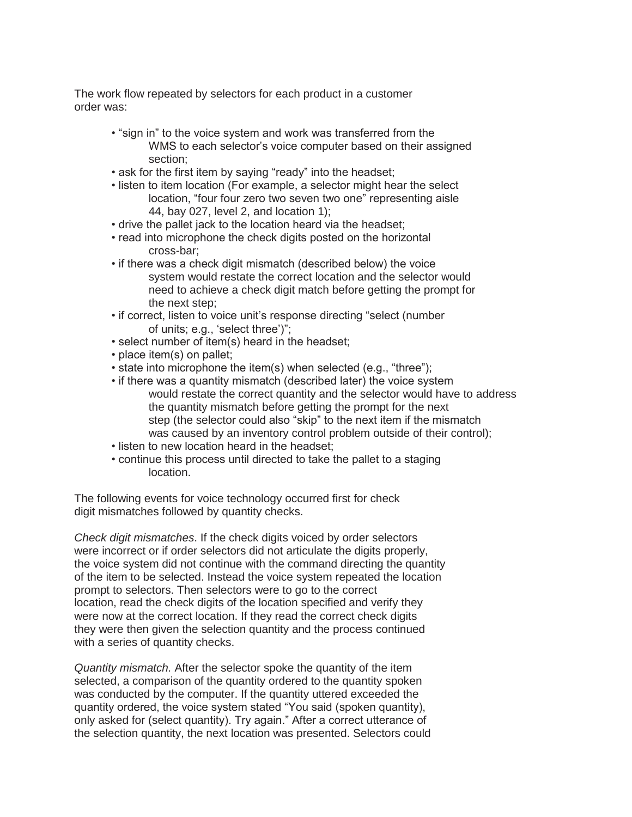The work flow repeated by selectors for each product in a customer order was:

- "sign in" to the voice system and work was transferred from the WMS to each selector"s voice computer based on their assigned section;
- ask for the first item by saying "ready" into the headset;
- listen to item location (For example, a selector might hear the select location, "four four zero two seven two one" representing aisle 44, bay 027, level 2, and location 1);
- drive the pallet jack to the location heard via the headset;
- read into microphone the check digits posted on the horizontal cross-bar;
- if there was a check digit mismatch (described below) the voice system would restate the correct location and the selector would need to achieve a check digit match before getting the prompt for the next step;
- if correct, listen to voice unit"s response directing "select (number of units; e.g., "select three")";
- select number of item(s) heard in the headset;
- place item(s) on pallet;
- state into microphone the item(s) when selected (e.g., "three");
- if there was a quantity mismatch (described later) the voice system would restate the correct quantity and the selector would have to address the quantity mismatch before getting the prompt for the next step (the selector could also "skip" to the next item if the mismatch was caused by an inventory control problem outside of their control);
- listen to new location heard in the headset;
- continue this process until directed to take the pallet to a staging location.

The following events for voice technology occurred first for check digit mismatches followed by quantity checks.

*Check digit mismatches*. If the check digits voiced by order selectors were incorrect or if order selectors did not articulate the digits properly, the voice system did not continue with the command directing the quantity of the item to be selected. Instead the voice system repeated the location prompt to selectors. Then selectors were to go to the correct location, read the check digits of the location specified and verify they were now at the correct location. If they read the correct check digits they were then given the selection quantity and the process continued with a series of quantity checks.

*Quantity mismatch.* After the selector spoke the quantity of the item selected, a comparison of the quantity ordered to the quantity spoken was conducted by the computer. If the quantity uttered exceeded the quantity ordered, the voice system stated "You said (spoken quantity), only asked for (select quantity). Try again." After a correct utterance of the selection quantity, the next location was presented. Selectors could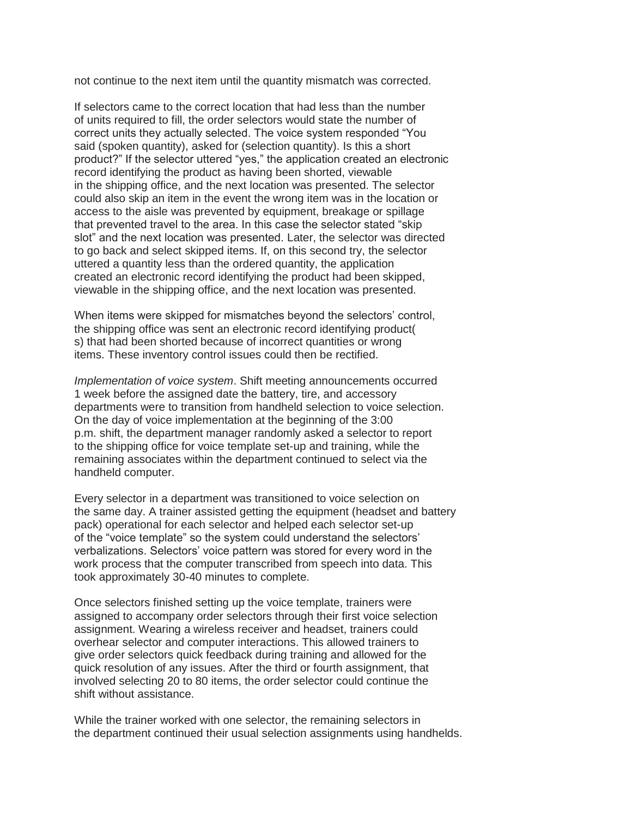not continue to the next item until the quantity mismatch was corrected.

If selectors came to the correct location that had less than the number of units required to fill, the order selectors would state the number of correct units they actually selected. The voice system responded "You said (spoken quantity), asked for (selection quantity). Is this a short product?" If the selector uttered "yes," the application created an electronic record identifying the product as having been shorted, viewable in the shipping office, and the next location was presented. The selector could also skip an item in the event the wrong item was in the location or access to the aisle was prevented by equipment, breakage or spillage that prevented travel to the area. In this case the selector stated "skip slot" and the next location was presented. Later, the selector was directed to go back and select skipped items. If, on this second try, the selector uttered a quantity less than the ordered quantity, the application created an electronic record identifying the product had been skipped, viewable in the shipping office, and the next location was presented.

When items were skipped for mismatches beyond the selectors' control, the shipping office was sent an electronic record identifying product( s) that had been shorted because of incorrect quantities or wrong items. These inventory control issues could then be rectified.

*Implementation of voice system*. Shift meeting announcements occurred 1 week before the assigned date the battery, tire, and accessory departments were to transition from handheld selection to voice selection. On the day of voice implementation at the beginning of the 3:00 p.m. shift, the department manager randomly asked a selector to report to the shipping office for voice template set-up and training, while the remaining associates within the department continued to select via the handheld computer.

Every selector in a department was transitioned to voice selection on the same day. A trainer assisted getting the equipment (headset and battery pack) operational for each selector and helped each selector set-up of the "voice template" so the system could understand the selectors" verbalizations. Selectors" voice pattern was stored for every word in the work process that the computer transcribed from speech into data. This took approximately 30-40 minutes to complete.

Once selectors finished setting up the voice template, trainers were assigned to accompany order selectors through their first voice selection assignment. Wearing a wireless receiver and headset, trainers could overhear selector and computer interactions. This allowed trainers to give order selectors quick feedback during training and allowed for the quick resolution of any issues. After the third or fourth assignment, that involved selecting 20 to 80 items, the order selector could continue the shift without assistance.

While the trainer worked with one selector, the remaining selectors in the department continued their usual selection assignments using handhelds.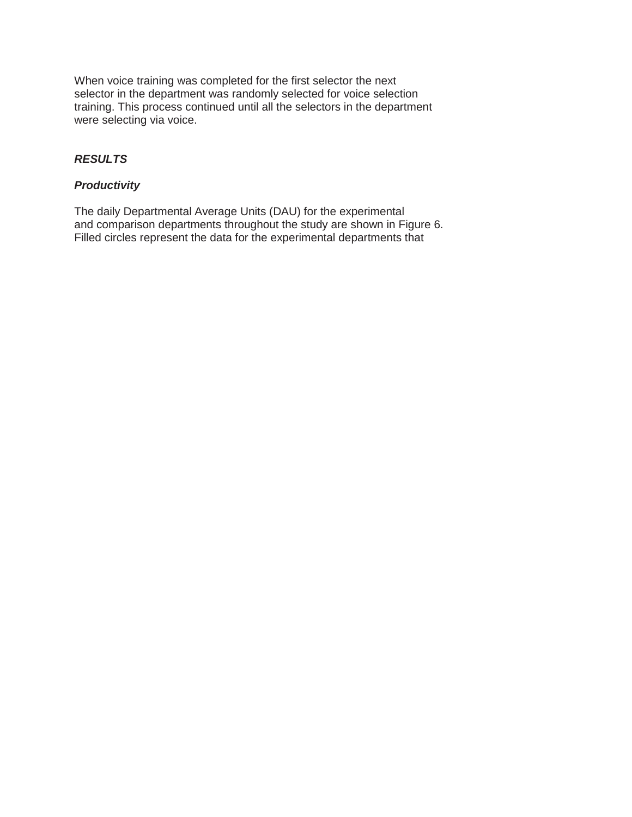When voice training was completed for the first selector the next selector in the department was randomly selected for voice selection training. This process continued until all the selectors in the department were selecting via voice.

# *RESULTS*

# *Productivity*

The daily Departmental Average Units (DAU) for the experimental and comparison departments throughout the study are shown in Figure 6. Filled circles represent the data for the experimental departments that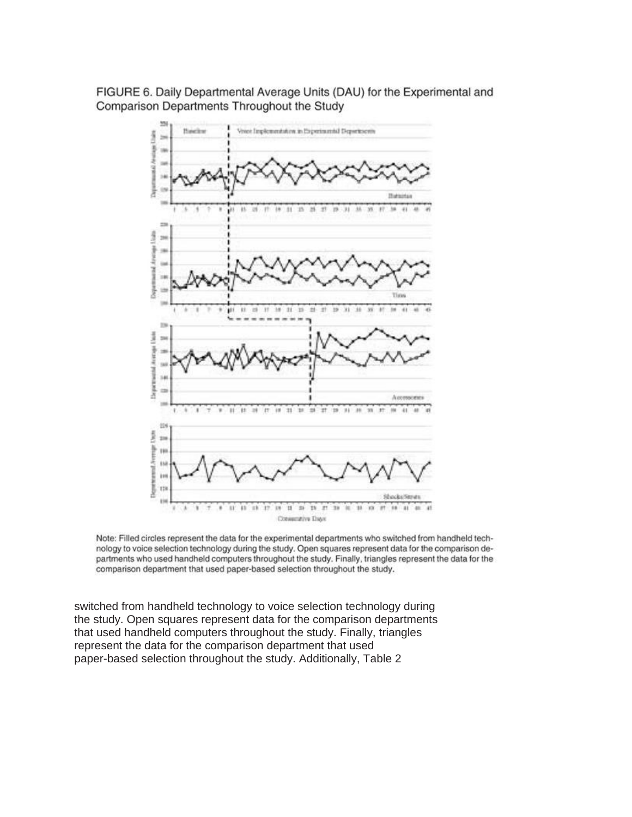FIGURE 6. Daily Departmental Average Units (DAU) for the Experimental and Comparison Departments Throughout the Study



Note: Filled circles represent the data for the experimental departments who switched from handheld technology to voice selection technology during the study. Open squares represent data for the comparison departments who used handheld computers throughout the study. Finally, triangles represent the data for the comparison department that used paper-based selection throughout the study.

switched from handheld technology to voice selection technology during the study. Open squares represent data for the comparison departments that used handheld computers throughout the study. Finally, triangles represent the data for the comparison department that used paper-based selection throughout the study. Additionally, Table 2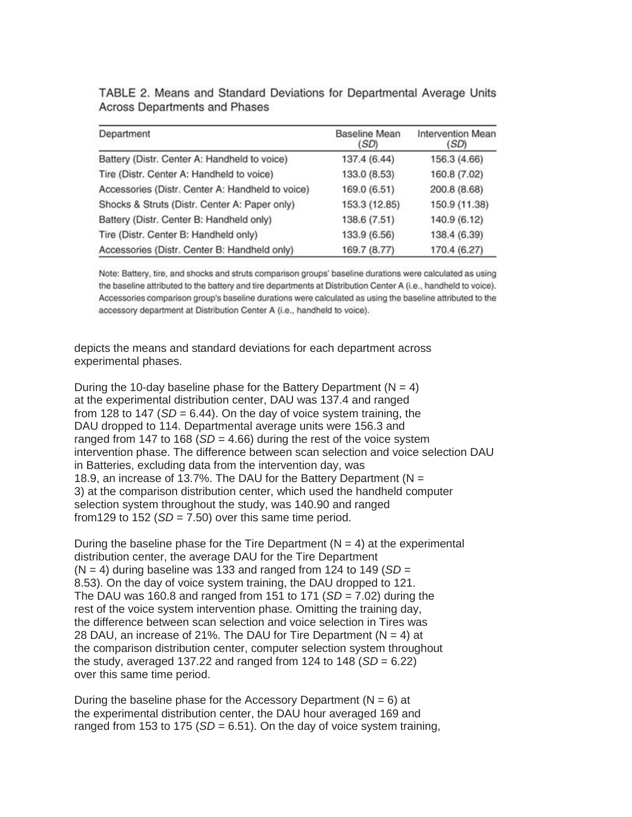| Department                                       | Baseline Mean<br>(SD) | Intervention Mean<br>(SD) |
|--------------------------------------------------|-----------------------|---------------------------|
| Battery (Distr. Center A: Handheld to voice)     | 137.4 (6.44)          | 156.3 (4.66)              |
| Tire (Distr. Center A: Handheld to voice)        | 133.0 (8.53)          | 160.8 (7.02)              |
| Accessories (Distr. Center A: Handheld to voice) | 169.0 (6.51)          | 200.8 (8.68)              |
| Shocks & Struts (Distr. Center A: Paper only)    | 153.3 (12.85)         | 150.9 (11.38)             |
| Battery (Distr. Center B: Handheld only)         | 138.6 (7.51)          | 140.9 (6.12)              |
| Tire (Distr. Center B: Handheld only)            | 133.9 (6.56)          | 138.4 (6.39)              |
| Accessories (Distr. Center B: Handheld only)     | 169.7 (8.77)          | 170.4 (6.27)              |

TABLE 2. Means and Standard Deviations for Departmental Average Units **Across Departments and Phases** 

Note: Battery, tire, and shocks and struts comparison groups' baseline durations were calculated as using the baseline attributed to the battery and tire departments at Distribution Center A (i.e., handheld to voice). Accessories comparison group's baseline durations were calculated as using the baseline attributed to the accessory department at Distribution Center A (i.e., handheld to voice).

depicts the means and standard deviations for each department across experimental phases.

During the 10-day baseline phase for the Battery Department ( $N = 4$ ) at the experimental distribution center, DAU was 137.4 and ranged from 128 to 147 (*SD* = 6.44). On the day of voice system training, the DAU dropped to 114. Departmental average units were 156.3 and ranged from 147 to 168 (*SD* = 4.66) during the rest of the voice system intervention phase. The difference between scan selection and voice selection DAU in Batteries, excluding data from the intervention day, was 18.9, an increase of 13.7%. The DAU for the Battery Department ( $N =$ 3) at the comparison distribution center, which used the handheld computer selection system throughout the study, was 140.90 and ranged from 129 to  $152$  ( $SD = 7.50$ ) over this same time period.

During the baseline phase for the Tire Department  $(N = 4)$  at the experimental distribution center, the average DAU for the Tire Department (N = 4) during baseline was 133 and ranged from 124 to 149 (*SD* = 8.53). On the day of voice system training, the DAU dropped to 121. The DAU was 160.8 and ranged from 151 to 171 (*SD* = 7.02) during the rest of the voice system intervention phase. Omitting the training day, the difference between scan selection and voice selection in Tires was 28 DAU, an increase of 21%. The DAU for Tire Department ( $N = 4$ ) at the comparison distribution center, computer selection system throughout the study, averaged 137.22 and ranged from 124 to 148 (*SD* = 6.22) over this same time period.

During the baseline phase for the Accessory Department ( $N = 6$ ) at the experimental distribution center, the DAU hour averaged 169 and ranged from 153 to 175 (*SD* = 6.51). On the day of voice system training,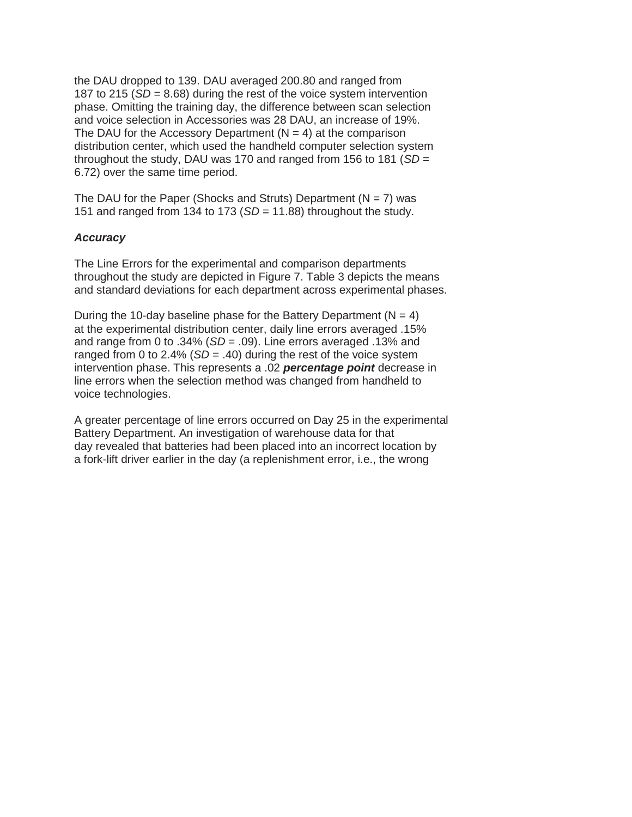the DAU dropped to 139. DAU averaged 200.80 and ranged from 187 to 215 (*SD* = 8.68) during the rest of the voice system intervention phase. Omitting the training day, the difference between scan selection and voice selection in Accessories was 28 DAU, an increase of 19%. The DAU for the Accessory Department  $(N = 4)$  at the comparison distribution center, which used the handheld computer selection system throughout the study, DAU was 170 and ranged from 156 to 181 (*SD* = 6.72) over the same time period.

The DAU for the Paper (Shocks and Struts) Department ( $N = 7$ ) was 151 and ranged from 134 to 173 (*SD* = 11.88) throughout the study.

# *Accuracy*

The Line Errors for the experimental and comparison departments throughout the study are depicted in Figure 7. Table 3 depicts the means and standard deviations for each department across experimental phases.

During the 10-day baseline phase for the Battery Department ( $N = 4$ ) at the experimental distribution center, daily line errors averaged .15% and range from 0 to .34% (*SD* = .09). Line errors averaged .13% and ranged from 0 to 2.4% (*SD* = .40) during the rest of the voice system intervention phase. This represents a .02 *percentage point* decrease in line errors when the selection method was changed from handheld to voice technologies.

A greater percentage of line errors occurred on Day 25 in the experimental Battery Department. An investigation of warehouse data for that day revealed that batteries had been placed into an incorrect location by a fork-lift driver earlier in the day (a replenishment error, i.e., the wrong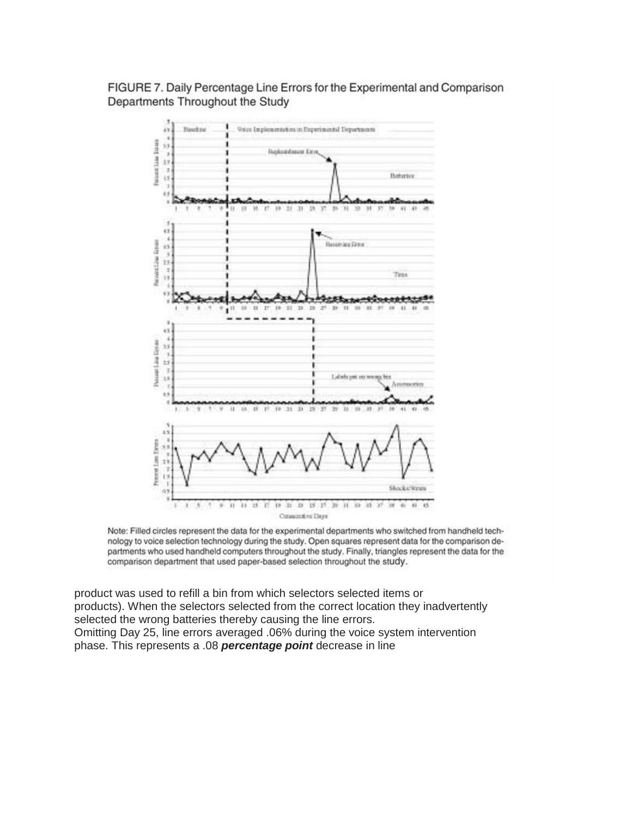FIGURE 7. Daily Percentage Line Errors for the Experimental and Comparison Departments Throughout the Study



Note: Filled circles represent the data for the experimental departments who switched from handheld technology to voice selection technology during the study. Open squares represent data for the comparison departments who used handheld computers throughout the study. Finally, triangles represent the data for the comparison department that used paper-based selection throughout the study.

product was used to refill a bin from which selectors selected items or products). When the selectors selected from the correct location they inadvertently selected the wrong batteries thereby causing the line errors. Omitting Day 25, line errors averaged .06% during the voice system intervention phase. This represents a .08 *percentage point* decrease in line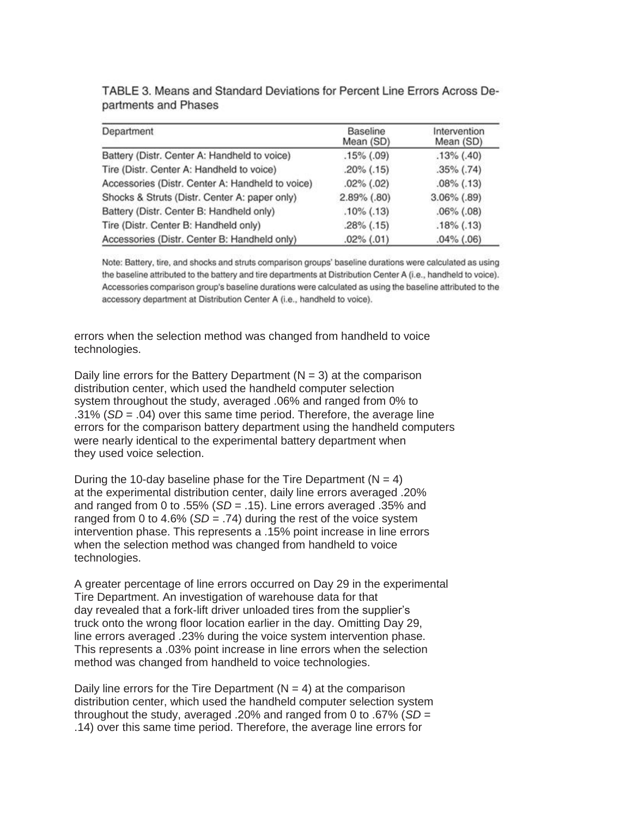| Department                                       | Baseline<br>Mean (SD) | Intervention<br>Mean (SD) |  |  |
|--------------------------------------------------|-----------------------|---------------------------|--|--|
| Battery (Distr. Center A: Handheld to voice)     | $.15\%$ $(.09)$       | $.13\%$ (.40)             |  |  |
| Tire (Distr. Center A: Handheld to voice)        | $.20\%$ (.15)         | $.35\%$ $(.74)$           |  |  |
| Accessories (Distr. Center A: Handheld to voice) | $.02\%$ $(.02)$       | $.08\%$ $(.13)$           |  |  |
| Shocks & Struts (Distr. Center A: paper only)    | $2.89\%$ $(.80)$      | $3.06\%$ (.89)            |  |  |
| Battery (Distr. Center B: Handheld only)         | $.10\%$ (.13)         | $.06\%$ $(.08)$           |  |  |
| Tire (Distr. Center B: Handheld only)            | $.28\%$ (.15)         | $.18\%$ $(.13)$           |  |  |
| Accessories (Distr. Center B: Handheld only)     | $.02\%$ $(.01)$       | $.04\%$ $(.06)$           |  |  |

TABLE 3. Means and Standard Deviations for Percent Line Errors Across Departments and Phases

Note: Battery, tire, and shocks and struts comparison groups' baseline durations were calculated as using the baseline attributed to the battery and tire departments at Distribution Center A (i.e., handheld to voice). Accessories comparison group's baseline durations were calculated as using the baseline attributed to the accessory department at Distribution Center A (i.e., handheld to voice).

errors when the selection method was changed from handheld to voice technologies.

Daily line errors for the Battery Department  $(N = 3)$  at the comparison distribution center, which used the handheld computer selection system throughout the study, averaged .06% and ranged from 0% to .31% (*SD* = .04) over this same time period. Therefore, the average line errors for the comparison battery department using the handheld computers were nearly identical to the experimental battery department when they used voice selection.

During the 10-day baseline phase for the Tire Department ( $N = 4$ ) at the experimental distribution center, daily line errors averaged .20% and ranged from 0 to .55% (*SD* = .15). Line errors averaged .35% and ranged from 0 to 4.6% (*SD* = .74) during the rest of the voice system intervention phase. This represents a .15% point increase in line errors when the selection method was changed from handheld to voice technologies.

A greater percentage of line errors occurred on Day 29 in the experimental Tire Department. An investigation of warehouse data for that day revealed that a fork-lift driver unloaded tires from the supplier"s truck onto the wrong floor location earlier in the day. Omitting Day 29, line errors averaged .23% during the voice system intervention phase. This represents a .03% point increase in line errors when the selection method was changed from handheld to voice technologies.

Daily line errors for the Tire Department  $(N = 4)$  at the comparison distribution center, which used the handheld computer selection system throughout the study, averaged .20% and ranged from 0 to .67% (*SD* = .14) over this same time period. Therefore, the average line errors for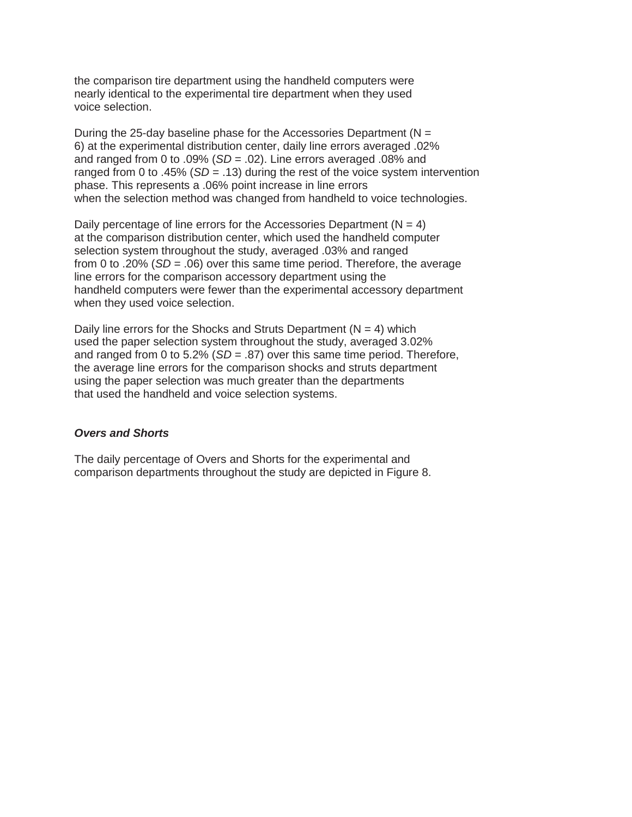the comparison tire department using the handheld computers were nearly identical to the experimental tire department when they used voice selection.

During the 25-day baseline phase for the Accessories Department ( $N =$ 6) at the experimental distribution center, daily line errors averaged .02% and ranged from 0 to .09% (*SD* = .02). Line errors averaged .08% and ranged from 0 to .45% (*SD* = .13) during the rest of the voice system intervention phase. This represents a .06% point increase in line errors when the selection method was changed from handheld to voice technologies.

Daily percentage of line errors for the Accessories Department  $(N = 4)$ at the comparison distribution center, which used the handheld computer selection system throughout the study, averaged .03% and ranged from 0 to .20% (*SD* = .06) over this same time period. Therefore, the average line errors for the comparison accessory department using the handheld computers were fewer than the experimental accessory department when they used voice selection.

Daily line errors for the Shocks and Struts Department ( $N = 4$ ) which used the paper selection system throughout the study, averaged 3.02% and ranged from 0 to 5.2% (*SD* = .87) over this same time period. Therefore, the average line errors for the comparison shocks and struts department using the paper selection was much greater than the departments that used the handheld and voice selection systems.

#### *Overs and Shorts*

The daily percentage of Overs and Shorts for the experimental and comparison departments throughout the study are depicted in Figure 8.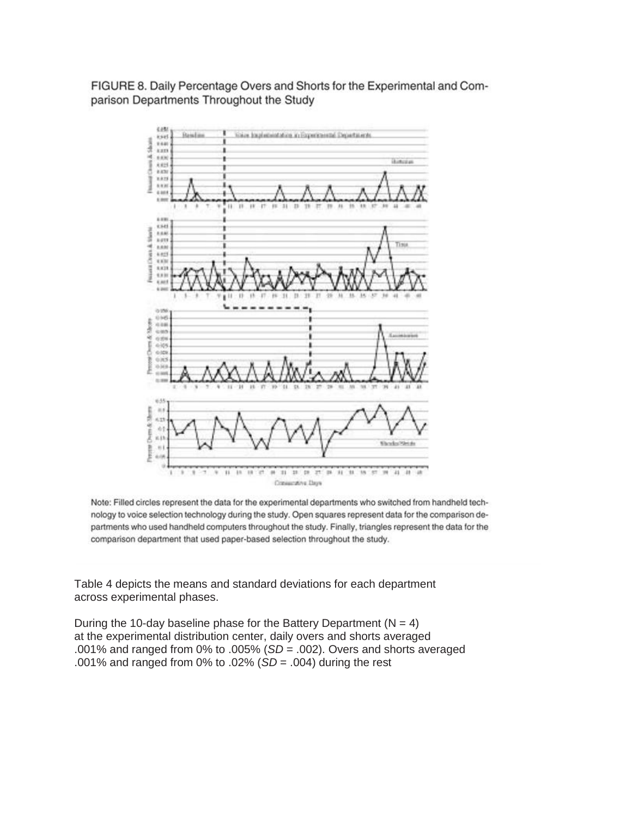FIGURE 8. Daily Percentage Overs and Shorts for the Experimental and Comparison Departments Throughout the Study



Note: Filled circles represent the data for the experimental departments who switched from handheld technology to voice selection technology during the study. Open squares represent data for the comparison departments who used handheld computers throughout the study. Finally, triangles represent the data for the comparison department that used paper-based selection throughout the study.

Table 4 depicts the means and standard deviations for each department across experimental phases.

During the 10-day baseline phase for the Battery Department ( $N = 4$ ) at the experimental distribution center, daily overs and shorts averaged .001% and ranged from 0% to .005% (*SD* = .002). Overs and shorts averaged .001% and ranged from 0% to .02% (*SD* = .004) during the rest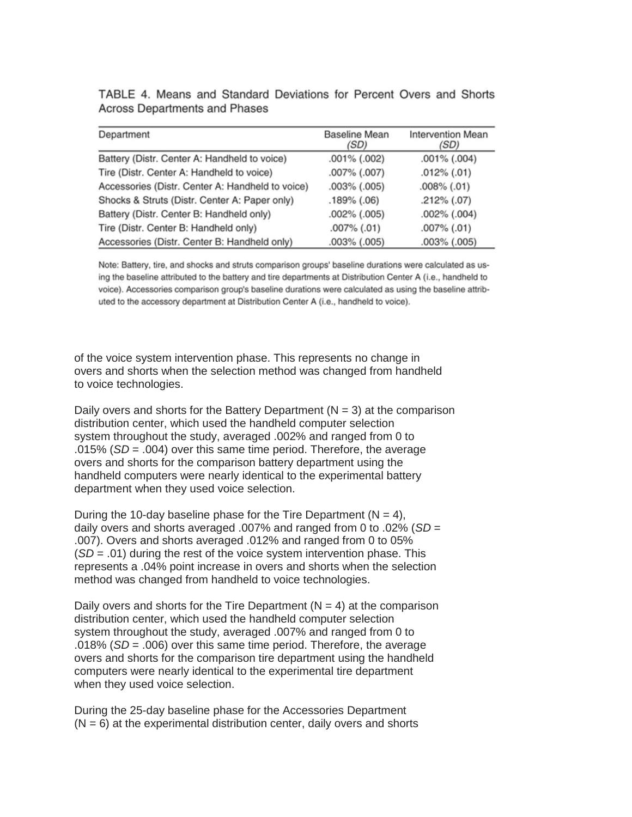|  |  |                                      | TABLE 4. Means and Standard Deviations for Percent Overs and Shorts |  |  |  |
|--|--|--------------------------------------|---------------------------------------------------------------------|--|--|--|
|  |  | <b>Across Departments and Phases</b> |                                                                     |  |  |  |

| Department                                       | Baseline Mean<br>(SD) | <b>Intervention Mean</b><br>(SD) |
|--------------------------------------------------|-----------------------|----------------------------------|
| Battery (Distr. Center A: Handheld to voice)     | $.001\%$ $(.002)$     | $.001\%$ $(.004)$                |
| Tire (Distr. Center A: Handheld to voice)        | $.007\%$ $(.007)$     | $.012\%$ (.01)                   |
| Accessories (Distr. Center A: Handheld to voice) | $.003\%$ $(.005)$     | $.008\%$ (.01)                   |
| Shocks & Struts (Distr. Center A: Paper only)    | $.189\%$ (.06)        | .212% (.07)                      |
| Battery (Distr. Center B: Handheld only)         | .002% (.005)          | .002% (.004)                     |
| Tire (Distr. Center B: Handheld only)            | $.007\%$ $(.01)$      | $.007\%$ $(.01)$                 |
| Accessories (Distr. Center B: Handheld only)     | $.003\%$ $(.005)$     | $.003\%$ $(.005)$                |

Note: Battery, tire, and shocks and struts comparison groups' baseline durations were calculated as using the baseline attributed to the battery and tire departments at Distribution Center A (i.e., handheld to voice). Accessories comparison group's baseline durations were calculated as using the baseline attributed to the accessory department at Distribution Center A (i.e., handheld to voice).

of the voice system intervention phase. This represents no change in overs and shorts when the selection method was changed from handheld to voice technologies.

Daily overs and shorts for the Battery Department  $(N = 3)$  at the comparison distribution center, which used the handheld computer selection system throughout the study, averaged .002% and ranged from 0 to .015% (*SD* = .004) over this same time period. Therefore, the average overs and shorts for the comparison battery department using the handheld computers were nearly identical to the experimental battery department when they used voice selection.

During the 10-day baseline phase for the Tire Department ( $N = 4$ ), daily overs and shorts averaged .007% and ranged from 0 to .02% (*SD* = .007). Overs and shorts averaged .012% and ranged from 0 to 05% (*SD* = .01) during the rest of the voice system intervention phase. This represents a .04% point increase in overs and shorts when the selection method was changed from handheld to voice technologies.

Daily overs and shorts for the Tire Department  $(N = 4)$  at the comparison distribution center, which used the handheld computer selection system throughout the study, averaged .007% and ranged from 0 to .018% (*SD* = .006) over this same time period. Therefore, the average overs and shorts for the comparison tire department using the handheld computers were nearly identical to the experimental tire department when they used voice selection.

During the 25-day baseline phase for the Accessories Department  $(N = 6)$  at the experimental distribution center, daily overs and shorts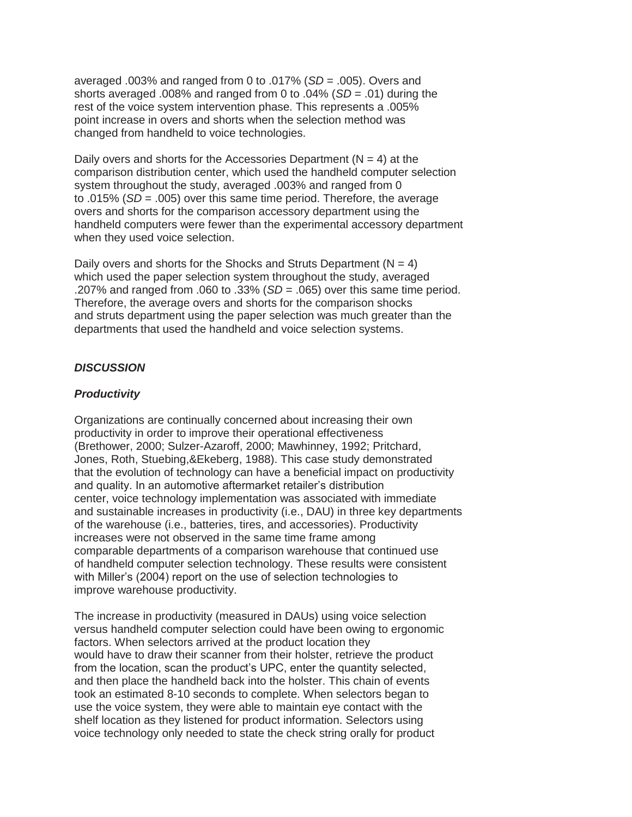averaged .003% and ranged from 0 to .017% (*SD* = .005). Overs and shorts averaged .008% and ranged from 0 to .04% (*SD* = .01) during the rest of the voice system intervention phase. This represents a .005% point increase in overs and shorts when the selection method was changed from handheld to voice technologies.

Daily overs and shorts for the Accessories Department ( $N = 4$ ) at the comparison distribution center, which used the handheld computer selection system throughout the study, averaged .003% and ranged from 0 to .015% (*SD* = .005) over this same time period. Therefore, the average overs and shorts for the comparison accessory department using the handheld computers were fewer than the experimental accessory department when they used voice selection.

Daily overs and shorts for the Shocks and Struts Department  $(N = 4)$ which used the paper selection system throughout the study, averaged .207% and ranged from .060 to .33% (*SD* = .065) over this same time period. Therefore, the average overs and shorts for the comparison shocks and struts department using the paper selection was much greater than the departments that used the handheld and voice selection systems.

# *DISCUSSION*

# *Productivity*

Organizations are continually concerned about increasing their own productivity in order to improve their operational effectiveness (Brethower, 2000; Sulzer-Azaroff, 2000; Mawhinney, 1992; Pritchard, Jones, Roth, Stuebing,&Ekeberg, 1988). This case study demonstrated that the evolution of technology can have a beneficial impact on productivity and quality. In an automotive aftermarket retailer"s distribution center, voice technology implementation was associated with immediate and sustainable increases in productivity (i.e., DAU) in three key departments of the warehouse (i.e., batteries, tires, and accessories). Productivity increases were not observed in the same time frame among comparable departments of a comparison warehouse that continued use of handheld computer selection technology. These results were consistent with Miller's (2004) report on the use of selection technologies to improve warehouse productivity.

The increase in productivity (measured in DAUs) using voice selection versus handheld computer selection could have been owing to ergonomic factors. When selectors arrived at the product location they would have to draw their scanner from their holster, retrieve the product from the location, scan the product's UPC, enter the quantity selected, and then place the handheld back into the holster. This chain of events took an estimated 8-10 seconds to complete. When selectors began to use the voice system, they were able to maintain eye contact with the shelf location as they listened for product information. Selectors using voice technology only needed to state the check string orally for product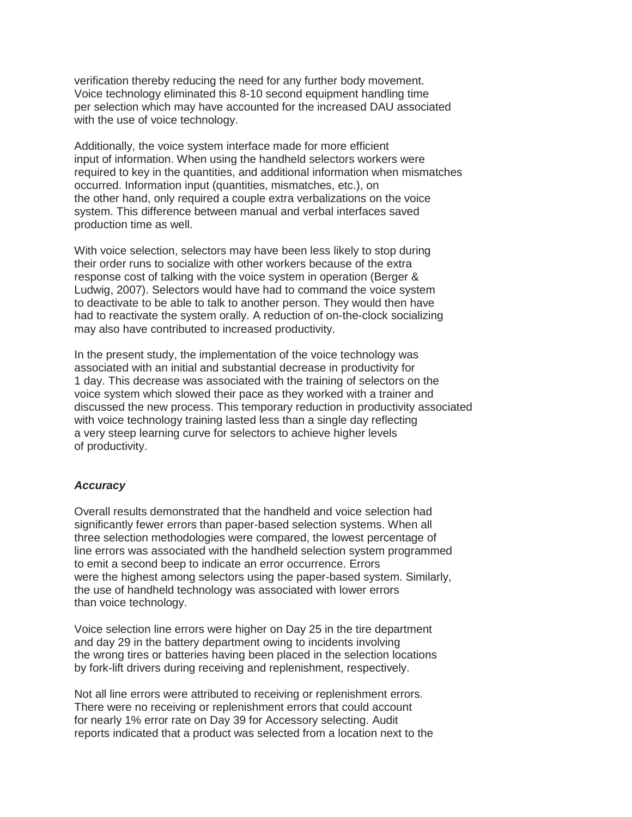verification thereby reducing the need for any further body movement. Voice technology eliminated this 8-10 second equipment handling time per selection which may have accounted for the increased DAU associated with the use of voice technology.

Additionally, the voice system interface made for more efficient input of information. When using the handheld selectors workers were required to key in the quantities, and additional information when mismatches occurred. Information input (quantities, mismatches, etc.), on the other hand, only required a couple extra verbalizations on the voice system. This difference between manual and verbal interfaces saved production time as well.

With voice selection, selectors may have been less likely to stop during their order runs to socialize with other workers because of the extra response cost of talking with the voice system in operation (Berger & Ludwig, 2007). Selectors would have had to command the voice system to deactivate to be able to talk to another person. They would then have had to reactivate the system orally. A reduction of on-the-clock socializing may also have contributed to increased productivity.

In the present study, the implementation of the voice technology was associated with an initial and substantial decrease in productivity for 1 day. This decrease was associated with the training of selectors on the voice system which slowed their pace as they worked with a trainer and discussed the new process. This temporary reduction in productivity associated with voice technology training lasted less than a single day reflecting a very steep learning curve for selectors to achieve higher levels of productivity.

# *Accuracy*

Overall results demonstrated that the handheld and voice selection had significantly fewer errors than paper-based selection systems. When all three selection methodologies were compared, the lowest percentage of line errors was associated with the handheld selection system programmed to emit a second beep to indicate an error occurrence. Errors were the highest among selectors using the paper-based system. Similarly, the use of handheld technology was associated with lower errors than voice technology.

Voice selection line errors were higher on Day 25 in the tire department and day 29 in the battery department owing to incidents involving the wrong tires or batteries having been placed in the selection locations by fork-lift drivers during receiving and replenishment, respectively.

Not all line errors were attributed to receiving or replenishment errors. There were no receiving or replenishment errors that could account for nearly 1% error rate on Day 39 for Accessory selecting. Audit reports indicated that a product was selected from a location next to the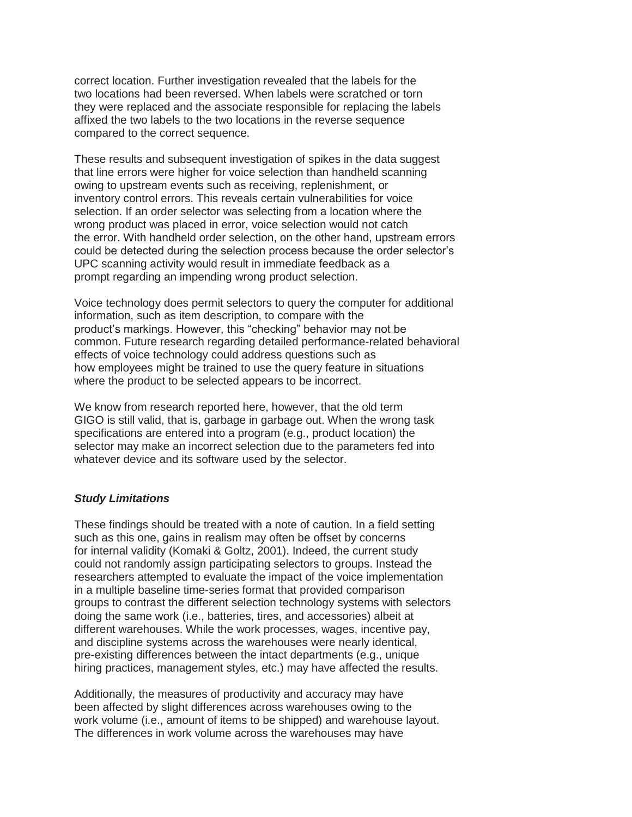correct location. Further investigation revealed that the labels for the two locations had been reversed. When labels were scratched or torn they were replaced and the associate responsible for replacing the labels affixed the two labels to the two locations in the reverse sequence compared to the correct sequence.

These results and subsequent investigation of spikes in the data suggest that line errors were higher for voice selection than handheld scanning owing to upstream events such as receiving, replenishment, or inventory control errors. This reveals certain vulnerabilities for voice selection. If an order selector was selecting from a location where the wrong product was placed in error, voice selection would not catch the error. With handheld order selection, on the other hand, upstream errors could be detected during the selection process because the order selector"s UPC scanning activity would result in immediate feedback as a prompt regarding an impending wrong product selection.

Voice technology does permit selectors to query the computer for additional information, such as item description, to compare with the product"s markings. However, this "checking" behavior may not be common. Future research regarding detailed performance-related behavioral effects of voice technology could address questions such as how employees might be trained to use the query feature in situations where the product to be selected appears to be incorrect.

We know from research reported here, however, that the old term GIGO is still valid, that is, garbage in garbage out. When the wrong task specifications are entered into a program (e.g., product location) the selector may make an incorrect selection due to the parameters fed into whatever device and its software used by the selector.

# *Study Limitations*

These findings should be treated with a note of caution. In a field setting such as this one, gains in realism may often be offset by concerns for internal validity (Komaki & Goltz, 2001). Indeed, the current study could not randomly assign participating selectors to groups. Instead the researchers attempted to evaluate the impact of the voice implementation in a multiple baseline time-series format that provided comparison groups to contrast the different selection technology systems with selectors doing the same work (i.e., batteries, tires, and accessories) albeit at different warehouses. While the work processes, wages, incentive pay, and discipline systems across the warehouses were nearly identical, pre-existing differences between the intact departments (e.g., unique hiring practices, management styles, etc.) may have affected the results.

Additionally, the measures of productivity and accuracy may have been affected by slight differences across warehouses owing to the work volume (i.e., amount of items to be shipped) and warehouse layout. The differences in work volume across the warehouses may have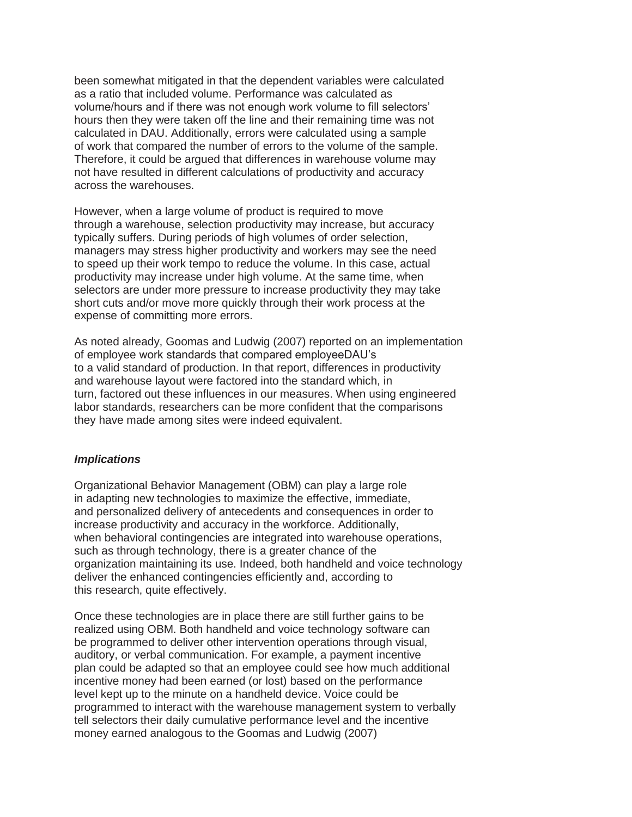been somewhat mitigated in that the dependent variables were calculated as a ratio that included volume. Performance was calculated as volume/hours and if there was not enough work volume to fill selectors" hours then they were taken off the line and their remaining time was not calculated in DAU. Additionally, errors were calculated using a sample of work that compared the number of errors to the volume of the sample. Therefore, it could be argued that differences in warehouse volume may not have resulted in different calculations of productivity and accuracy across the warehouses.

However, when a large volume of product is required to move through a warehouse, selection productivity may increase, but accuracy typically suffers. During periods of high volumes of order selection, managers may stress higher productivity and workers may see the need to speed up their work tempo to reduce the volume. In this case, actual productivity may increase under high volume. At the same time, when selectors are under more pressure to increase productivity they may take short cuts and/or move more quickly through their work process at the expense of committing more errors.

As noted already, Goomas and Ludwig (2007) reported on an implementation of employee work standards that compared employeeDAU"s to a valid standard of production. In that report, differences in productivity and warehouse layout were factored into the standard which, in turn, factored out these influences in our measures. When using engineered labor standards, researchers can be more confident that the comparisons they have made among sites were indeed equivalent.

#### *Implications*

Organizational Behavior Management (OBM) can play a large role in adapting new technologies to maximize the effective, immediate, and personalized delivery of antecedents and consequences in order to increase productivity and accuracy in the workforce. Additionally, when behavioral contingencies are integrated into warehouse operations, such as through technology, there is a greater chance of the organization maintaining its use. Indeed, both handheld and voice technology deliver the enhanced contingencies efficiently and, according to this research, quite effectively.

Once these technologies are in place there are still further gains to be realized using OBM. Both handheld and voice technology software can be programmed to deliver other intervention operations through visual, auditory, or verbal communication. For example, a payment incentive plan could be adapted so that an employee could see how much additional incentive money had been earned (or lost) based on the performance level kept up to the minute on a handheld device. Voice could be programmed to interact with the warehouse management system to verbally tell selectors their daily cumulative performance level and the incentive money earned analogous to the Goomas and Ludwig (2007)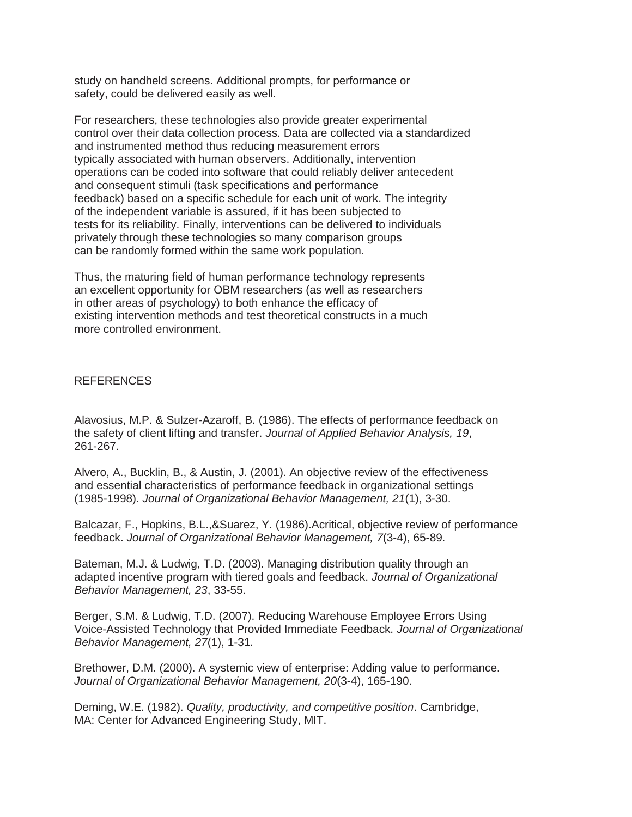study on handheld screens. Additional prompts, for performance or safety, could be delivered easily as well.

For researchers, these technologies also provide greater experimental control over their data collection process. Data are collected via a standardized and instrumented method thus reducing measurement errors typically associated with human observers. Additionally, intervention operations can be coded into software that could reliably deliver antecedent and consequent stimuli (task specifications and performance feedback) based on a specific schedule for each unit of work. The integrity of the independent variable is assured, if it has been subjected to tests for its reliability. Finally, interventions can be delivered to individuals privately through these technologies so many comparison groups can be randomly formed within the same work population.

Thus, the maturing field of human performance technology represents an excellent opportunity for OBM researchers (as well as researchers in other areas of psychology) to both enhance the efficacy of existing intervention methods and test theoretical constructs in a much more controlled environment.

#### REFERENCES

Alavosius, M.P. & Sulzer-Azaroff, B. (1986). The effects of performance feedback on the safety of client lifting and transfer. *Journal of Applied Behavior Analysis, 19*, 261-267.

Alvero, A., Bucklin, B., & Austin, J. (2001). An objective review of the effectiveness and essential characteristics of performance feedback in organizational settings (1985-1998). *Journal of Organizational Behavior Management, 21*(1), 3-30.

Balcazar, F., Hopkins, B.L.,&Suarez, Y. (1986).Acritical, objective review of performance feedback. *Journal of Organizational Behavior Management, 7*(3-4), 65-89.

Bateman, M.J. & Ludwig, T.D. (2003). Managing distribution quality through an adapted incentive program with tiered goals and feedback. *Journal of Organizational Behavior Management, 23*, 33-55.

Berger, S.M. & Ludwig, T.D. (2007). Reducing Warehouse Employee Errors Using Voice-Assisted Technology that Provided Immediate Feedback. *Journal of Organizational Behavior Management, 27*(1), 1-31*.*

Brethower, D.M. (2000). A systemic view of enterprise: Adding value to performance. *Journal of Organizational Behavior Management, 20*(3-4), 165-190.

Deming, W.E. (1982). *Quality, productivity, and competitive position*. Cambridge, MA: Center for Advanced Engineering Study, MIT.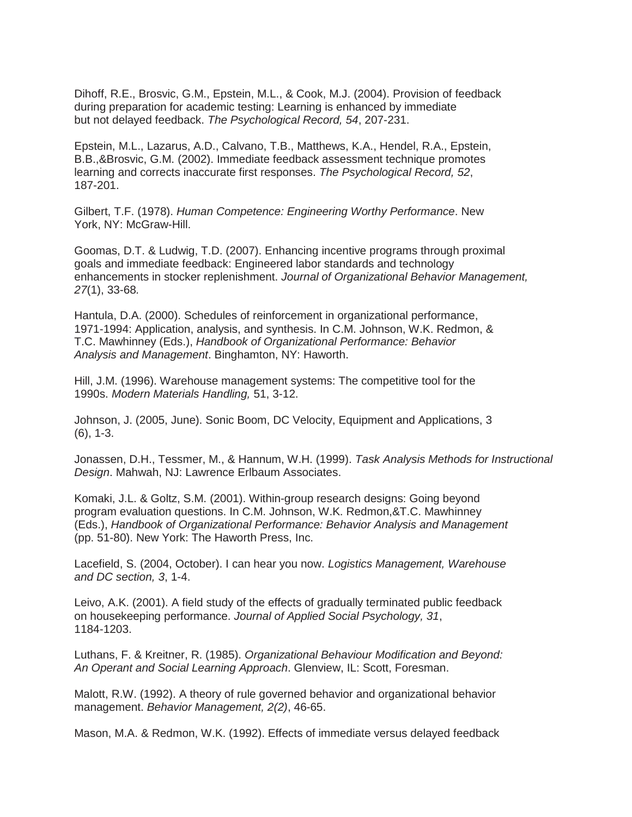Dihoff, R.E., Brosvic, G.M., Epstein, M.L., & Cook, M.J. (2004). Provision of feedback during preparation for academic testing: Learning is enhanced by immediate but not delayed feedback. *The Psychological Record, 54*, 207-231.

Epstein, M.L., Lazarus, A.D., Calvano, T.B., Matthews, K.A., Hendel, R.A., Epstein, B.B.,&Brosvic, G.M. (2002). Immediate feedback assessment technique promotes learning and corrects inaccurate first responses. *The Psychological Record, 52*, 187-201.

Gilbert, T.F. (1978). *Human Competence: Engineering Worthy Performance*. New York, NY: McGraw-Hill.

Goomas, D.T. & Ludwig, T.D. (2007). Enhancing incentive programs through proximal goals and immediate feedback: Engineered labor standards and technology enhancements in stocker replenishment. *Journal of Organizational Behavior Management, 27*(1), 33-68*.*

Hantula, D.A. (2000). Schedules of reinforcement in organizational performance, 1971-1994: Application, analysis, and synthesis. In C.M. Johnson, W.K. Redmon, & T.C. Mawhinney (Eds.), *Handbook of Organizational Performance: Behavior Analysis and Management*. Binghamton, NY: Haworth.

Hill, J.M. (1996). Warehouse management systems: The competitive tool for the 1990s. *Modern Materials Handling,* 51, 3-12.

Johnson, J. (2005, June). Sonic Boom, DC Velocity, Equipment and Applications, 3 (6), 1-3.

Jonassen, D.H., Tessmer, M., & Hannum, W.H. (1999). *Task Analysis Methods for Instructional Design*. Mahwah, NJ: Lawrence Erlbaum Associates.

Komaki, J.L. & Goltz, S.M. (2001). Within-group research designs: Going beyond program evaluation questions. In C.M. Johnson, W.K. Redmon,&T.C. Mawhinney (Eds.), *Handbook of Organizational Performance: Behavior Analysis and Management* (pp. 51-80). New York: The Haworth Press, Inc.

Lacefield, S. (2004, October). I can hear you now. *Logistics Management, Warehouse and DC section, 3*, 1-4.

Leivo, A.K. (2001). A field study of the effects of gradually terminated public feedback on housekeeping performance. *Journal of Applied Social Psychology, 31*, 1184-1203.

Luthans, F. & Kreitner, R. (1985). *Organizational Behaviour Modification and Beyond: An Operant and Social Learning Approach*. Glenview, IL: Scott, Foresman.

Malott, R.W. (1992). A theory of rule governed behavior and organizational behavior management. *Behavior Management, 2(2)*, 46-65.

Mason, M.A. & Redmon, W.K. (1992). Effects of immediate versus delayed feedback